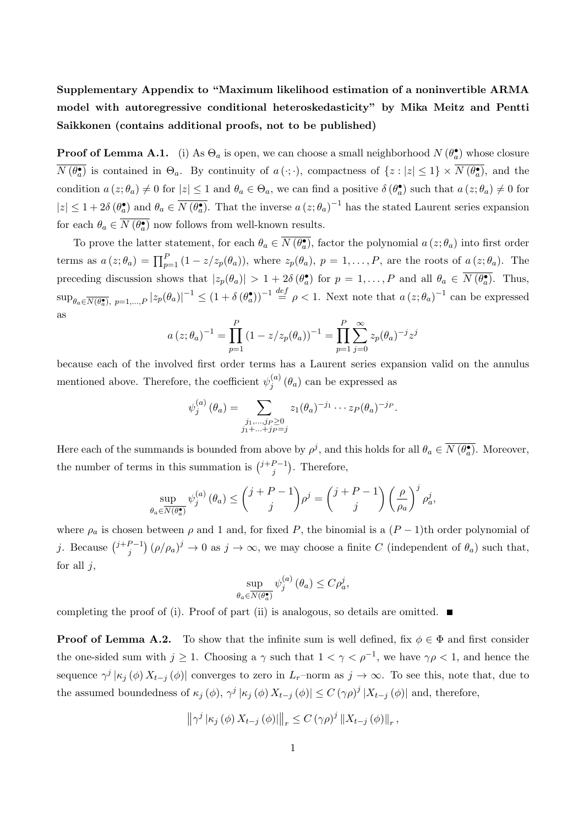## Supplementary Appendix to "Maximum likelihood estimation of a noninvertible ARMA model with autoregressive conditional heteroskedasticity" by Mika Meitz and Pentti Saikkonen (contains additional proofs, not to be published)

**Proof of Lemma A.1.** (i) As  $\Theta_a$  is open, we can choose a small neighborhood  $N(\theta_a^{\bullet})$  whose closure  $N(\theta_a^{\bullet})$  is contained in  $\Theta_a$ . By continuity of  $a(\cdot;\cdot)$ , compactness of  $\{z:|z|\leq 1\}\times N(\theta_a^{\bullet})$ , and the condition  $a(z; \theta_a) \neq 0$  for  $|z| \leq 1$  and  $\theta_a \in \Theta_a$ , we can find a positive  $\delta(\theta_a^{\bullet})$  such that  $a(z; \theta_a) \neq 0$  for  $|z| \leq 1 + 2\delta \left(\theta_a^{\bullet}\right)$  and  $\theta_a \in \overline{N\left(\theta_a^{\bullet}\right)}$ . That the inverse  $a(z;\theta_a)^{-1}$  has the stated Laurent series expansion for each  $\theta_a \in \overline{N(\theta_a)}$  now follows from well-known results.

To prove the latter statement, for each  $\theta_a \in \overline{N(\theta_a)}$ , factor the polynomial  $a(z; \theta_a)$  into first order terms as  $a(z;\theta_a) = \prod_{p=1}^P (1 - z/z_p(\theta_a))$ , where  $z_p(\theta_a)$ ,  $p = 1, \ldots, P$ , are the roots of  $a(z;\theta_a)$ . The preceding discussion shows that  $|z_p(\theta_a)| > 1 + 2\delta(\theta_a)$  for  $p = 1, ..., P$  and all  $\theta_a \in \overline{N(\theta_a)}$ . Thus,  $\sup_{\theta_a \in \overline{N(\theta_a)}, p=1,\dots,P} |z_p(\theta_a)|^{-1} \le (1+\delta(\theta_a^{\bullet}))^{-1} \stackrel{def}{=} \rho < 1.$  Next note that  $a(z;\theta_a)^{-1}$  can be expressed as

$$
a(z; \theta_a)^{-1} = \prod_{p=1}^P (1 - z/z_p(\theta_a))^{-1} = \prod_{p=1}^P \sum_{j=0}^\infty z_p(\theta_a)^{-j} z^j
$$

because each of the involved first order terms has a Laurent series expansion valid on the annulus mentioned above. Therefore, the coefficient  $\psi_i^{(a)}$  $j^{(a)}$  ( $\theta_a$ ) can be expressed as

$$
\psi_j^{(a)}(\theta_a) = \sum_{\substack{j_1,\dots,j_P \ge 0 \\ j_1 + \dots + j_P = j}} z_1(\theta_a)^{-j_1} \cdots z_P(\theta_a)^{-j_P}.
$$

Here each of the summands is bounded from above by  $\rho^j$ , and this holds for all  $\theta_a \in \overline{N(\theta_a)}$ . Moreover, the number of terms in this summation is  $\binom{j+p-1}{i}$  $_{j}^{P-1}$ ). Therefore,

$$
\sup_{\theta_a \in \overline{N(\theta_a^{\bullet})}} \psi_j^{(a)}(\theta_a) \le \binom{j+P-1}{j} \rho^j = \binom{j+P-1}{j} \left(\frac{\rho}{\rho_a}\right)^j \rho_a^j,
$$

where  $\rho_a$  is chosen between  $\rho$  and 1 and, for fixed P, the binomial is a  $(P-1)$ th order polynomial of j. Because  $\binom{j+P-1}{i}$  $j^{(P-1)}(p/\rho_a)^j \to 0$  as  $j \to \infty$ , we may choose a finite C (independent of  $\theta_a$ ) such that, for all  $j$ ,

$$
\sup_{\theta_a \in \overline{N(\theta_a^{\bullet})}} \psi_j^{(a)}(\theta_a) \le C \rho_a^j,
$$

completing the proof of (i). Proof of part (ii) is analogous, so details are omitted.  $\blacksquare$ 

**Proof of Lemma A.2.** To show that the infinite sum is well defined, fix  $\phi \in \Phi$  and first consider the one-sided sum with  $j \ge 1$ . Choosing a  $\gamma$  such that  $1 < \gamma < \rho^{-1}$ , we have  $\gamma \rho < 1$ , and hence the sequence  $\gamma^j | \kappa_j(\phi) X_{t-j}(\phi) |$  converges to zero in  $L_r$ -norm as  $j \to \infty$ . To see this, note that, due to the assumed boundedness of  $\kappa_j(\phi)$ ,  $\gamma^j |\kappa_j(\phi) X_{t-j}(\phi)| \le C (\gamma \rho)^j |X_{t-j}(\phi)|$  and, therefore,

$$
\left\|\gamma^{j}\left|\kappa_{j}\left(\phi\right)X_{t-j}\left(\phi\right)\right|\right\|_{r} \leq C\left(\gamma\rho\right)^{j}\left\|X_{t-j}\left(\phi\right)\right\|_{r},
$$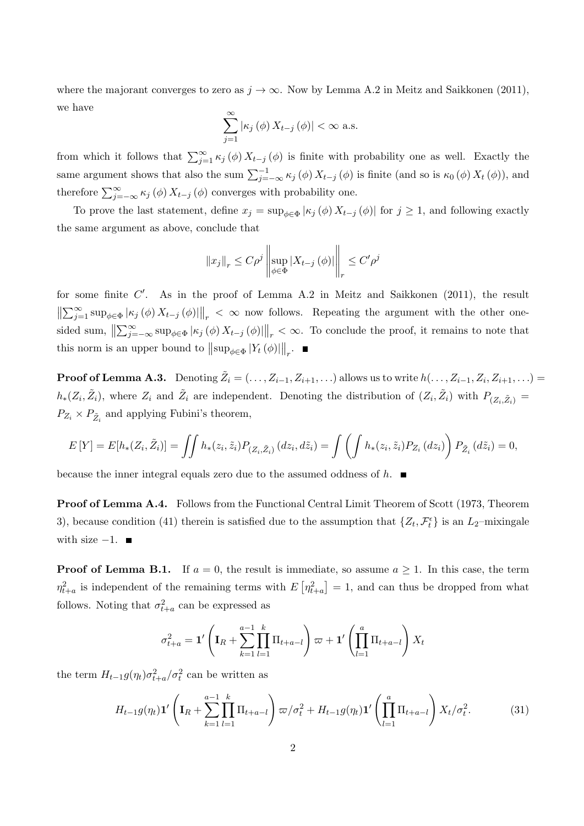where the majorant converges to zero as  $j \to \infty$ . Now by Lemma A.2 in Meitz and Saikkonen (2011), we have

$$
\sum_{j=1}^{\infty} |\kappa_j(\phi) X_{t-j}(\phi)| < \infty \text{ a.s.}
$$

from which it follows that  $\sum_{j=1}^{\infty} \kappa_j(\phi) X_{t-j}(\phi)$  is finite with probability one as well. Exactly the same argument shows that also the sum  $\sum_{j=-\infty}^{-1} \kappa_j(\phi) X_{t-j}(\phi)$  is finite (and so is  $\kappa_0(\phi) X_t(\phi)$ ), and therefore  $\sum_{j=-\infty}^{\infty} \kappa_j(\phi) X_{t-j}(\phi)$  converges with probability one.

To prove the last statement, define  $x_j = \sup_{\phi \in \Phi} |\kappa_j(\phi) X_{t-j}(\phi)|$  for  $j \ge 1$ , and following exactly the same argument as above, conclude that

$$
\|x_j\|_r \le C\rho^j \left\| \sup_{\phi \in \Phi} |X_{t-j}(\phi)| \right\|_r \le C'\rho^j
$$

for some finite  $C'$ . As in the proof of Lemma A.2 in Meitz and Saikkonen (2011), the result  $\left\| \sum_{j=1}^{\infty} \sup_{\phi \in \Phi} |\kappa_j(\phi) X_{t-j}(\phi)| \right\|_r < \infty$  now follows. Repeating the argument with the other onesided sum,  $\left\|\sum_{j=-\infty}^{\infty} \sup_{\phi \in \Phi} |\kappa_j(\phi) X_{t-j}(\phi)|\right\|_r < \infty$ . To conclude the proof, it remains to note that this norm is an upper bound to  $\|\sup_{\phi \in \Phi} |Y_t(\phi)|\|_r$ .

**Proof of Lemma A.3.** Denoting  $\tilde{Z}_i = (\ldots, Z_{i-1}, Z_{i+1}, \ldots)$  allows us to write  $h(\ldots, Z_{i-1}, Z_i, Z_{i+1}, \ldots) =$  $h_*(Z_i, \tilde{Z}_i)$ , where  $Z_i$  and  $\tilde{Z}_i$  are independent. Denoting the distribution of  $(Z_i, \tilde{Z}_i)$  with  $P_{(Z_i, \tilde{Z}_i)} =$  $P_{Z_i} \times P_{\tilde{Z}_i}$  and applying Fubini's theorem,

$$
E[Y] = E[h_*(Z_i, \tilde{Z}_i)] = \iint h_*(z_i, \tilde{z}_i) P_{(Z_i, \tilde{Z}_i)}(dz_i, d\tilde{z}_i) = \iint \left( \int h_*(z_i, \tilde{z}_i) P_{Z_i}(dz_i) \right) P_{\tilde{Z}_i}(d\tilde{z}_i) = 0,
$$

because the inner integral equals zero due to the assumed oddness of  $h$ .

Proof of Lemma A.4. Follows from the Functional Central Limit Theorem of Scott (1973, Theorem 3), because condition (41) therein is satisfied due to the assumption that  $\{Z_t, \mathcal{F}_t^{\epsilon}\}\)$  is an  $L_2$ -mixingale with size  $-1$ .  $\blacksquare$ 

**Proof of Lemma B.1.** If  $a = 0$ , the result is immediate, so assume  $a \geq 1$ . In this case, the term  $\eta_{t+a}^2$  is independent of the remaining terms with  $E\left[\eta_{t+a}^2\right]=1$ , and can thus be dropped from what follows. Noting that  $\sigma_{t+a}^2$  can be expressed as

$$
\sigma_{t+a}^2 = \mathbf{1}' \left( \mathbf{I}_R + \sum_{k=1}^{a-1} \prod_{l=1}^k \Pi_{t+a-l} \right) \varpi + \mathbf{1}' \left( \prod_{l=1}^a \Pi_{t+a-l} \right) X_t
$$

the term  $H_{t-1}g(\eta_t)\sigma_{t+a}^2/\sigma_t^2$  can be written as

$$
H_{t-1}g(\eta_t)\mathbf{1}'\left(\mathbf{I}_R + \sum_{k=1}^{a-1} \prod_{l=1}^k \Pi_{t+a-l}\right) \varpi / \sigma_t^2 + H_{t-1}g(\eta_t)\mathbf{1}'\left(\prod_{l=1}^a \Pi_{t+a-l}\right) X_t / \sigma_t^2.
$$
 (31)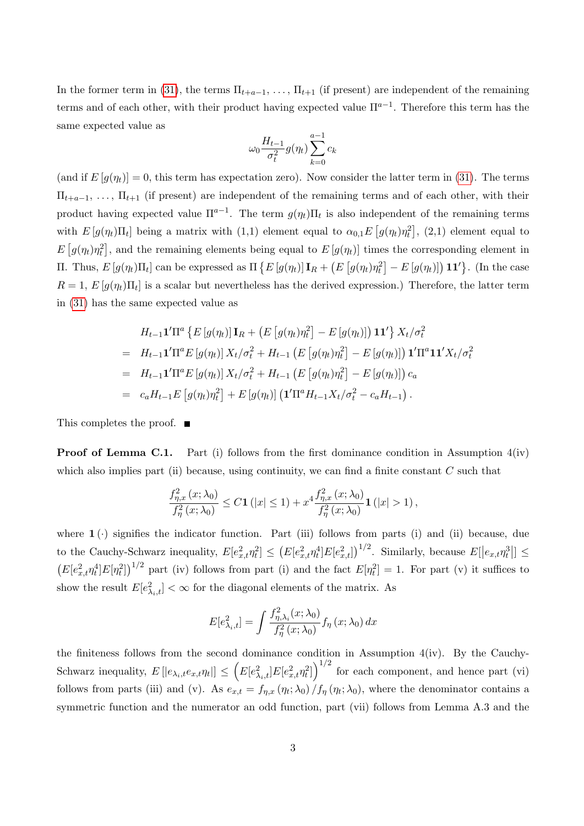In the former term in (31), the terms  $\Pi_{t+a-1}, \ldots, \Pi_{t+1}$  (if present) are independent of the remaining terms and of each other, with their product having expected value  $\Pi^{a-1}$ . Therefore this term has the same expected value as

$$
\omega_0 \frac{H_{t-1}}{\sigma_t^2} g(\eta_t) \sum_{k=0}^{a-1} c_k
$$

(and if  $E[g(\eta_t)]=0$ , this term has expectation zero). Now consider the latter term in (31). The terms  $\Pi_{t+a-1}, \ldots, \Pi_{t+1}$  (if present) are independent of the remaining terms and of each other, with their product having expected value  $\Pi^{a-1}$ . The term  $g(\eta_t) \Pi_t$  is also independent of the remaining terms with  $E[g(\eta_t) \Pi_t]$  being a matrix with  $(1,1)$  element equal to  $\alpha_{0,1} E[g(\eta_t) \eta_t^2]$ ,  $(2,1)$  element equal to  $E[g(\eta_t)\eta_t^2]$ , and the remaining elements being equal to  $E[g(\eta_t)]$  times the corresponding element in Π. Thus,  $E[g(\eta_t)$ Π<sub>t</sub>] can be expressed as  $\Pi\{E[g(\eta_t)]\mathbf{I}_R + (E[g(\eta_t)\eta_t^2] - E[g(\eta_t)])\mathbf{1}\mathbf{1}'\}$ . (In the case  $R = 1, E[g(\eta_t) \Pi_t]$  is a scalar but nevertheless has the derived expression.) Therefore, the latter term in (31) has the same expected value as

$$
H_{t-1}\mathbf{1}'\Pi^{a} \{ E[g(\eta_{t})] \mathbf{I}_{R} + (E[g(\eta_{t})\eta_{t}^{2}] - E[g(\eta_{t})] \mathbf{1}\mathbf{1}' \} X_{t}/\sigma_{t}^{2}
$$
  
\n
$$
= H_{t-1}\mathbf{1}'\Pi^{a} E[g(\eta_{t})] X_{t}/\sigma_{t}^{2} + H_{t-1} (E[g(\eta_{t})\eta_{t}^{2}] - E[g(\eta_{t})] \mathbf{1}'\Pi^{a}\mathbf{1}\mathbf{1}' X_{t}/\sigma_{t}^{2}
$$
  
\n
$$
= H_{t-1}\mathbf{1}'\Pi^{a} E[g(\eta_{t})] X_{t}/\sigma_{t}^{2} + H_{t-1} (E[g(\eta_{t})\eta_{t}^{2}] - E[g(\eta_{t})]) c_{a}
$$
  
\n
$$
= c_{a}H_{t-1} E[g(\eta_{t})\eta_{t}^{2}] + E[g(\eta_{t})] (\mathbf{1}'\Pi^{a} H_{t-1} X_{t}/\sigma_{t}^{2} - c_{a}H_{t-1}).
$$

This completes the proof. ■

**Proof of Lemma C.1.** Part (i) follows from the first dominance condition in Assumption  $4(iv)$ which also implies part (ii) because, using continuity, we can find a finite constant  $C$  such that

$$
\frac{f_{\eta,x}^2\left(x;\lambda_0\right)}{f_{\eta}^2\left(x;\lambda_0\right)} \leq C \mathbf{1}\left(|x| \leq 1\right) + x^4 \frac{f_{\eta,x}^2\left(x;\lambda_0\right)}{f_{\eta}^2\left(x;\lambda_0\right)} \mathbf{1}\left(|x| > 1\right),
$$

where  $1(\cdot)$  signifies the indicator function. Part (iii) follows from parts (i) and (ii) because, due to the Cauchy-Schwarz inequality,  $E[e_{x,t}^2 \eta_t^2] \leq (E[e_{x,t}^2 \eta_t^4] E[e_{x,t}^2])^{1/2}$ . Similarly, because  $E[|e_{x,t} \eta_t^3|] \leq$  $(E[e_{x,t}^2 \eta_t^4] E[\eta_t^2])^{1/2}$  part (iv) follows from part (i) and the fact  $E[\eta_t^2] = 1$ . For part (v) it suffices to show the result  $E[e_{\lambda_i,t}^2] < \infty$  for the diagonal elements of the matrix. As

$$
E[e_{\lambda_i,t}^2] = \int \frac{f_{\eta,\lambda_i}^2(x;\lambda_0)}{f_{\eta}^2(x;\lambda_0)} f_{\eta}(x;\lambda_0) dx
$$

the finiteness follows from the second dominance condition in Assumption 4(iv). By the Cauchy-Schwarz inequality,  $E[|e_{\lambda_i,t}e_{x,t}\eta_t|] \leq (E[e_{\lambda_i,t}^2]E[e_{x,t}^2\eta_t^2])^{1/2}$  for each component, and hence part (vi) follows from parts (iii) and (v). As  $e_{x,t} = f_{\eta,x}(\eta_t; \lambda_0) / f_{\eta}(\eta_t; \lambda_0)$ , where the denominator contains a symmetric function and the numerator an odd function, part (vii) follows from Lemma A.3 and the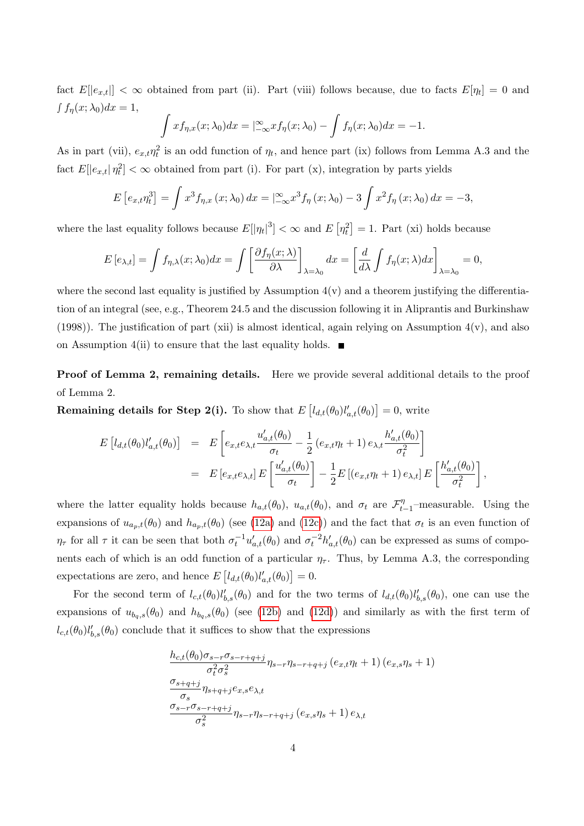fact  $E[|e_{x,t}|] < \infty$  obtained from part (ii). Part (viii) follows because, due to facts  $E[\eta_t] = 0$  and  $\int f_{\eta}(x; \lambda_0) dx = 1,$ 

$$
\int x f_{\eta,x}(x;\lambda_0) dx = \left| \frac{\infty}{-\infty} x f_{\eta}(x;\lambda_0) - \int f_{\eta}(x;\lambda_0) dx \right| = -1.
$$

As in part (vii),  $e_{x,t}\eta_t^2$  is an odd function of  $\eta_t$ , and hence part (ix) follows from Lemma A.3 and the fact  $E[|e_{x,t}| \eta_t^2] < \infty$  obtained from part (i). For part (x), integration by parts yields

$$
E\left[e_{x,t}\eta_t^3\right] = \int x^3 f_{\eta,x}\left(x;\lambda_0\right) dx = \left|\frac{\infty}{-\infty}x^3 f_{\eta}\left(x;\lambda_0\right) - 3\int x^2 f_{\eta}\left(x;\lambda_0\right) dx = -3,
$$

where the last equality follows because  $E[|\eta_t|^3] < \infty$  and  $E[\eta_t^2] = 1$ . Part (xi) holds because

$$
E\left[e_{\lambda,t}\right] = \int f_{\eta,\lambda}(x;\lambda_0)dx = \int \left[\frac{\partial f_{\eta}(x;\lambda)}{\partial \lambda}\right]_{\lambda=\lambda_0}dx = \left[\frac{d}{d\lambda}\int f_{\eta}(x;\lambda)dx\right]_{\lambda=\lambda_0} = 0,
$$

where the second last equality is justified by Assumption  $4(v)$  and a theorem justifying the differentiation of an integral (see, e.g., Theorem 24.5 and the discussion following it in Aliprantis and Burkinshaw (1998)). The justification of part (xii) is almost identical, again relying on Assumption  $4(v)$ , and also on Assumption 4(ii) to ensure that the last equality holds.  $\blacksquare$ 

Proof of Lemma 2, remaining details. Here we provide several additional details to the proof of Lemma 2.

**Remaining details for Step 2(i).** To show that  $E\left[l_{d,t}(\theta_0)l'_{a,t}(\theta_0)\right] = 0$ , write

$$
E\left[l_{d,t}(\theta_0)l'_{a,t}(\theta_0)\right] = E\left[e_{x,t}e_{\lambda,t}\frac{u'_{a,t}(\theta_0)}{\sigma_t} - \frac{1}{2}\left(e_{x,t}\eta_t + 1\right)e_{\lambda,t}\frac{h'_{a,t}(\theta_0)}{\sigma_t^2}\right]
$$
  

$$
= E\left[e_{x,t}e_{\lambda,t}\right]E\left[\frac{u'_{a,t}(\theta_0)}{\sigma_t}\right] - \frac{1}{2}E\left[\left(e_{x,t}\eta_t + 1\right)e_{\lambda,t}\right]E\left[\frac{h'_{a,t}(\theta_0)}{\sigma_t^2}\right],
$$

where the latter equality holds because  $h_{a,t}(\theta_0)$ ,  $u_{a,t}(\theta_0)$ , and  $\sigma_t$  are  $\mathcal{F}_t^{\eta}$  $\frac{t}{t-1}$ -measurable. Using the expansions of  $u_{a_p,t}(\theta_0)$  and  $h_{a_p,t}(\theta_0)$  (see (12a) and (12c)) and the fact that  $\sigma_t$  is an even function of  $\eta_{\tau}$  for all  $\tau$  it can be seen that both  $\sigma_t^{-1}u'_{a,t}(\theta_0)$  and  $\sigma_t^{-2}h'_{a,t}(\theta_0)$  can be expressed as sums of components each of which is an odd function of a particular  $\eta_{\tau}$ . Thus, by Lemma A.3, the corresponding expectations are zero, and hence  $E\left[l_{d,t}(\theta_0)l'_{a,t}(\theta_0)\right] = 0.$ 

For the second term of  $l_{c,t}(\theta_0)l'_{b,s}(\theta_0)$  and for the two terms of  $l_{d,t}(\theta_0)l'_{b,s}(\theta_0)$ , one can use the expansions of  $u_{bq,s}(\theta_0)$  and  $h_{bq,s}(\theta_0)$  (see (12b) and (12d)) and similarly as with the first term of  $l_{c,t}(\theta_0)l'_{b,s}(\theta_0)$  conclude that it suffices to show that the expressions

$$
\frac{h_{c,t}(\theta_0)\sigma_{s-r}\sigma_{s-r+q+j}}{\sigma_t^2\sigma_s^2}\eta_{s-r}\eta_{s-r+q+j}(e_{x,t}\eta_t+1)(e_{x,s}\eta_s+1)
$$
  

$$
\frac{\sigma_{s+q+j}}{\sigma_s}\eta_{s+q+j}e_{x,s}e_{\lambda,t}
$$
  

$$
\frac{\sigma_{s-r}\sigma_{s-r+q+j}}{\sigma_s^2}\eta_{s-r}\eta_{s-r+q+j}(e_{x,s}\eta_s+1)e_{\lambda,t}
$$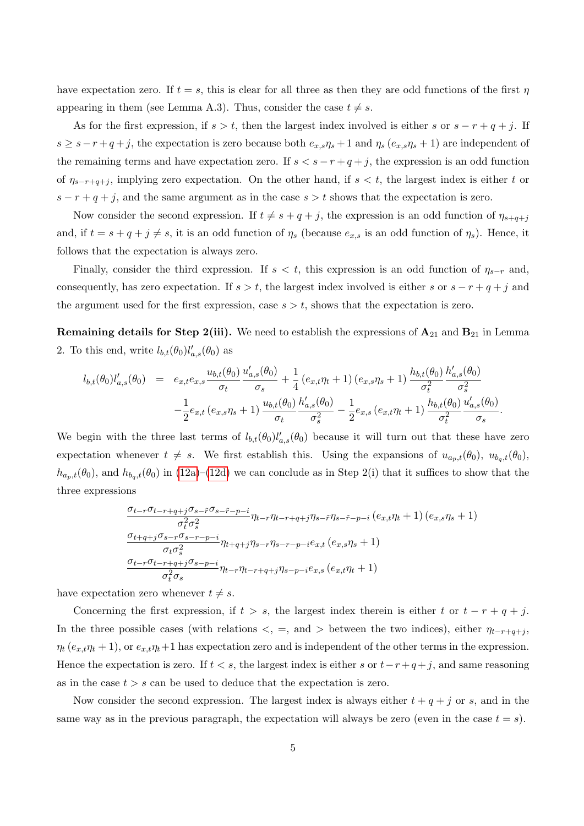have expectation zero. If  $t = s$ , this is clear for all three as then they are odd functions of the first  $\eta$ appearing in them (see Lemma A.3). Thus, consider the case  $t \neq s$ .

As for the first expression, if  $s > t$ , then the largest index involved is either s or  $s - r + q + j$ . If  $s \geq s-r+q+j$ , the expectation is zero because both  $e_{x,s}\eta_s+1$  and  $\eta_s(e_{x,s}\eta_s+1)$  are independent of the remaining terms and have expectation zero. If  $s < s - r + q + j$ , the expression is an odd function of  $\eta_{s-r+q+j}$ , implying zero expectation. On the other hand, if  $s < t$ , the largest index is either t or  $s - r + q + j$ , and the same argument as in the case  $s > t$  shows that the expectation is zero.

Now consider the second expression. If  $t \neq s + q + j$ , the expression is an odd function of  $\eta_{s+q+j}$ and, if  $t = s + q + j \neq s$ , it is an odd function of  $\eta_s$  (because  $e_{x,s}$  is an odd function of  $\eta_s$ ). Hence, it follows that the expectation is always zero.

Finally, consider the third expression. If  $s < t$ , this expression is an odd function of  $\eta_{s-r}$  and, consequently, has zero expectation. If  $s > t$ , the largest index involved is either s or  $s - r + q + j$  and the argument used for the first expression, case  $s > t$ , shows that the expectation is zero.

**Remaining details for Step 2(iii).** We need to establish the expressions of  $A_{21}$  and  $B_{21}$  in Lemma 2. To this end, write  $l_{b,t}(\theta_0)l'_{a,s}(\theta_0)$  as

$$
l_{b,t}(\theta_0)l'_{a,s}(\theta_0) = e_{x,t}e_{x,s}\frac{u_{b,t}(\theta_0)}{\sigma_t}\frac{u'_{a,s}(\theta_0)}{\sigma_s} + \frac{1}{4}\left(e_{x,t}\eta_t + 1\right)\left(e_{x,s}\eta_s + 1\right)\frac{h_{b,t}(\theta_0)}{\sigma_t^2}\frac{h'_{a,s}(\theta_0)}{\sigma_s^2} - \frac{1}{2}e_{x,t}\left(e_{x,s}\eta_s + 1\right)\frac{u_{b,t}(\theta_0)}{\sigma_t}\frac{h'_{a,s}(\theta_0)}{\sigma_s^2} - \frac{1}{2}e_{x,s}\left(e_{x,t}\eta_t + 1\right)\frac{h_{b,t}(\theta_0)}{\sigma_t^2}\frac{u'_{a,s}(\theta_0)}{\sigma_s}.
$$

We begin with the three last terms of  $l_{b,t}(\theta_0)l'_{a,s}(\theta_0)$  because it will turn out that these have zero expectation whenever  $t \neq s$ . We first establish this. Using the expansions of  $u_{a_p,t}(\theta_0)$ ,  $u_{b_q,t}(\theta_0)$ ,  $h_{a_p,t}(\theta_0)$ , and  $h_{b_q,t}(\theta_0)$  in (12a)–(12d) we can conclude as in Step 2(i) that it suffices to show that the three expressions

$$
\frac{\sigma_{t-r}\sigma_{t-r+q+j}\sigma_{s-\tilde{r}}\sigma_{s-\tilde{r}-p-i}}{\sigma_t^2 \sigma_s^2} \eta_{t-r}\eta_{t-r+q+j}\eta_{s-\tilde{r}}\eta_{s-\tilde{r}-p-i} (e_{x,t}\eta_t+1) (e_{x,s}\eta_s+1)
$$
\n
$$
\frac{\sigma_{t+q+j}\sigma_{s-r}\sigma_{s-r-p-i}}{\sigma_t \sigma_s^2} \eta_{t+q+j}\eta_{s-r}\eta_{s-r-p-i}e_{x,t} (e_{x,s}\eta_s+1)
$$
\n
$$
\frac{\sigma_{t-r}\sigma_{t-r+q+j}\sigma_{s-p-i}}{\sigma_t^2 \sigma_s} \eta_{t-r}\eta_{t-r+q+j}\eta_{s-p-i}e_{x,s} (e_{x,t}\eta_t+1)
$$

have expectation zero whenever  $t \neq s$ .

Concerning the first expression, if  $t > s$ , the largest index therein is either t or  $t - r + q + j$ . In the three possible cases (with relations  $\lt$ , =, and > between the two indices), either  $\eta_{t-r+q+j}$  $\eta_t (e_{x,t} \eta_t + 1)$ , or  $e_{x,t} \eta_t + 1$  has expectation zero and is independent of the other terms in the expression. Hence the expectation is zero. If  $t < s$ , the largest index is either s or  $t-r+q+j$ , and same reasoning as in the case  $t > s$  can be used to deduce that the expectation is zero.

Now consider the second expression. The largest index is always either  $t + q + j$  or s, and in the same way as in the previous paragraph, the expectation will always be zero (even in the case  $t = s$ ).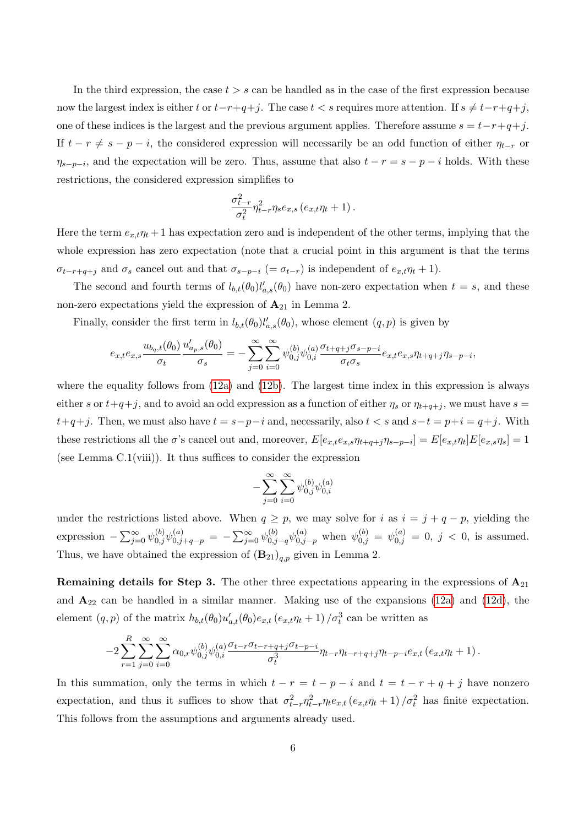In the third expression, the case  $t > s$  can be handled as in the case of the first expression because now the largest index is either t or  $t-r+q+j$ . The case  $t < s$  requires more attention. If  $s \neq t-r+q+j$ , one of these indices is the largest and the previous argument applies. Therefore assume  $s = t-r+q+j$ . If  $t - r \neq s - p - i$ , the considered expression will necessarily be an odd function of either  $\eta_{t-r}$  or  $\eta_{s-p-i}$ , and the expectation will be zero. Thus, assume that also  $t - r = s - p - i$  holds. With these restrictions, the considered expression simplifies to

$$
\frac{\sigma_{t-r}^2}{\sigma_t^2} \eta_{t-r}^2 \eta_s e_{x,s} \left(e_{x,t}\eta_t + 1\right).
$$

Here the term  $e_{x,t}\eta_t + 1$  has expectation zero and is independent of the other terms, implying that the whole expression has zero expectation (note that a crucial point in this argument is that the terms  $\sigma_{t-r+q+j}$  and  $\sigma_s$  cancel out and that  $\sigma_{s-p-i}$  (=  $\sigma_{t-r}$ ) is independent of  $e_{x,t}\eta_t + 1$ ).

The second and fourth terms of  $l_{b,t}(\theta_0)l'_{a,s}(\theta_0)$  have non-zero expectation when  $t = s$ , and these non-zero expectations yield the expression of  $A_{21}$  in Lemma 2.

Finally, consider the first term in  $l_{b,t}(\theta_0)l'_{a,s}(\theta_0)$ , whose element  $(q, p)$  is given by

$$
e_{x,t}e_{x,s}\frac{u_{b_q,t}(\theta_0)}{\sigma_t}\frac{u'_{a_p,s}(\theta_0)}{\sigma_s}=-\sum_{j=0}^{\infty}\sum_{i=0}^{\infty}\psi^{(b)}_{0,j}\psi^{(a)}_{0,i}\frac{\sigma_{t+q+j}\sigma_{s-p-i}}{\sigma_t\sigma_s}e_{x,t}e_{x,s}\eta_{t+q+j}\eta_{s-p-i},
$$

where the equality follows from  $(12a)$  and  $(12b)$ . The largest time index in this expression is always either s or  $t+q+j$ , and to avoid an odd expression as a function of either  $\eta_s$  or  $\eta_{t+q+j}$ , we must have  $s =$  $t+q+j$ . Then, we must also have  $t = s-p-i$  and, necessarily, also  $t < s$  and  $s-t = p+i = q+j$ . With these restrictions all the  $\sigma$ 's cancel out and, moreover,  $E[e_{x,t}e_{x,s}\eta_{t+q+j}\eta_{s-p-i}] = E[e_{x,t}\eta_t]E[e_{x,s}\eta_s] = 1$ (see Lemma  $C.1$ (viii)). It thus suffices to consider the expression

$$
-\sum_{j=0}^{\infty}\sum_{i=0}^{\infty}\psi^{(b)}_{0,j}\psi^{(a)}_{0,i}
$$

under the restrictions listed above. When  $q \geq p$ , we may solve for i as  $i = j + q - p$ , yielding the expression  $-\sum_{j=0}^{\infty} \psi_{0,j}^{(b)} \psi_{0,j+q-p}^{(a)} = -\sum_{j=0}^{\infty} \psi_{0,j-q}^{(b)} \psi_{0,j-p}^{(a)}$  when  $\psi_{0,j}^{(b)} = \psi_{0,j}^{(a)} = 0, j < 0$ , is assumed. Thus, we have obtained the expression of  $(B_{21})_{q,p}$  given in Lemma 2.

**Remaining details for Step 3.** The other three expectations appearing in the expressions of  $A_{21}$ and  $A_{22}$  can be handled in a similar manner. Making use of the expansions (12a) and (12d), the element  $(q, p)$  of the matrix  $h_{b,t}(\theta_0)u'_{a,t}(\theta_0)e_{x,t}$   $(e_{x,t}\eta_t + 1)/\sigma_t^3$  can be written as

$$
-2\sum_{r=1}^{R}\sum_{j=0}^{\infty}\sum_{i=0}^{\infty}\alpha_{0,r}\psi_{0,j}^{(b)}\psi_{0,i}^{(a)}\frac{\sigma_{t-r}\sigma_{t-r+q+j}\sigma_{t-p-i}}{\sigma_t^3}\eta_{t-r}\eta_{t-r+q+j}\eta_{t-p-i}e_{x,t}\left(e_{x,t}\eta_t+1\right).
$$

In this summation, only the terms in which  $t - r = t - p - i$  and  $t = t - r + q + i$  have nonzero expectation, and thus it suffices to show that  $\sigma_{t-r}^2 \eta_{t-r}^2 \eta_t e_{x,t} (e_{x,t} \eta_t + 1) / \sigma_t^2$  has finite expectation. This follows from the assumptions and arguments already used.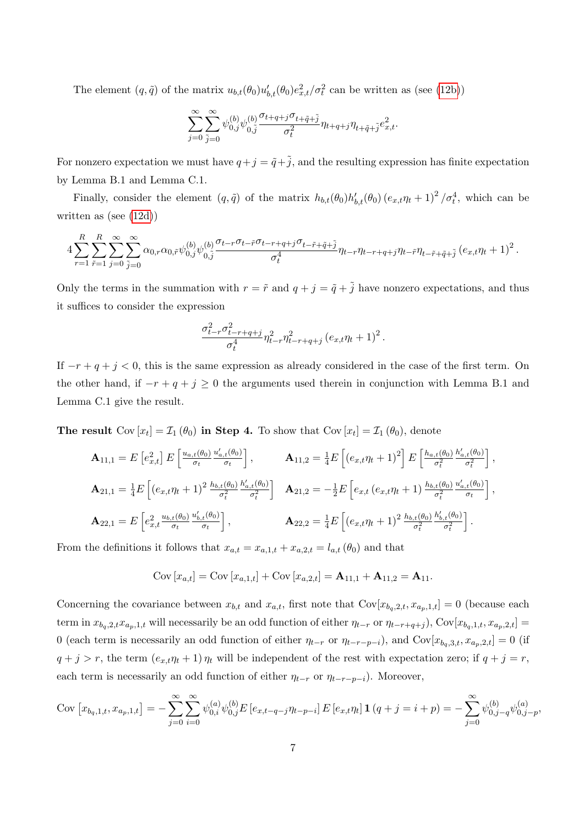The element  $(q, \tilde{q})$  of the matrix  $u_{b,t}(\theta_0)u'_{b,t}(\theta_0)e_{x,t}^2/\sigma_t^2$  can be written as (see (12b))

$$
\sum_{j=0}^{\infty} \sum_{\tilde{j}=0}^{\infty} \psi_{0,\tilde{j}}^{(b)} \psi_{0,\tilde{j}}^{(b)} \frac{\sigma_{t+q+j} \sigma_{t+\tilde{q}+\tilde{j}}}{\sigma_t^2} \eta_{t+q+j} \eta_{t+\tilde{q}+\tilde{j}} e_{x,t}^2.
$$

For nonzero expectation we must have  $q+j = \tilde{q}+\tilde{j}$ , and the resulting expression has finite expectation by Lemma B.1 and Lemma C.1.

Finally, consider the element  $(q, \tilde{q})$  of the matrix  $h_{b,t}(\theta_0)h'_{b,t}(\theta_0) (e_{x,t}\eta_t+1)^2/\sigma_t^4$ , which can be written as (see (12d))

$$
4\sum_{r=1}^R\sum_{\tilde{r}=1}^R\sum_{j=0}^\infty\sum_{\tilde{j}=0}^\infty\alpha_{0,r}\alpha_{0,\tilde{r}}\psi_{0,j}^{(b)}\psi_{0,\tilde{j}}^{(b)}\frac{\sigma_{t-r}\sigma_{t-\tilde{r}}\sigma_{t-r+q+j}\sigma_{t-\tilde{r}+\tilde{q}+\tilde{j}}}{\sigma_t^4}\eta_{t-r}\eta_{t-r+q+j}\eta_{t-\tilde{r}+\tilde{q}+\tilde{j}}\left(e_{x,t}\eta_t+1\right)^2.
$$

Only the terms in the summation with  $r = \tilde{r}$  and  $q + j = \tilde{q} + \tilde{j}$  have nonzero expectations, and thus it suffices to consider the expression

$$
\frac{\sigma_{t-r}^2 \sigma_{t-r+q+j}^2}{\sigma_t^4} \eta_{t-r}^2 \eta_{t-r+q+j}^2 (e_{x,t} \eta_t + 1)^2.
$$

If  $-r+q+j<0$ , this is the same expression as already considered in the case of the first term. On the other hand, if  $-r+q+j\geq 0$  the arguments used therein in conjunction with Lemma B.1 and Lemma C.1 give the result.

The result  $Cov[x_t] = \mathcal{I}_1(\theta_0)$  in Step 4. To show that  $Cov[x_t] = \mathcal{I}_1(\theta_0)$ , denote

$$
\mathbf{A}_{11,1} = E\left[e_{x,t}^2\right]E\left[\frac{u_{a,t}(\theta_0)}{\sigma_t}\frac{u'_{a,t}(\theta_0)}{\sigma_t}\right], \qquad \mathbf{A}_{11,2} = \frac{1}{4}E\left[\left(e_{x,t}\eta_t + 1\right)^2\right]E\left[\frac{h_{a,t}(\theta_0)}{\sigma_t^2}\frac{h'_{a,t}(\theta_0)}{\sigma_t^2}\right],
$$
\n
$$
\mathbf{A}_{21,1} = \frac{1}{4}E\left[\left(e_{x,t}\eta_t + 1\right)^2\frac{h_{b,t}(\theta_0)}{\sigma_t^2}\frac{h'_{a,t}(\theta_0)}{\sigma_t^2}\right] \quad \mathbf{A}_{21,2} = -\frac{1}{2}E\left[e_{x,t}\left(e_{x,t}\eta_t + 1\right)\frac{h_{b,t}(\theta_0)}{\sigma_t^2}\frac{u'_{a,t}(\theta_0)}{\sigma_t}\right],
$$
\n
$$
\mathbf{A}_{22,1} = E\left[e_{x,t}^2\frac{u_{b,t}(\theta_0)}{\sigma_t}\frac{u'_{b,t}(\theta_0)}{\sigma_t}\right], \qquad \mathbf{A}_{22,2} = \frac{1}{4}E\left[\left(e_{x,t}\eta_t + 1\right)^2\frac{h_{b,t}(\theta_0)}{\sigma_t^2}\frac{h'_{b,t}(\theta_0)}{\sigma_t^2}\right].
$$

From the definitions it follows that  $x_{a,t} = x_{a,1,t} + x_{a,2,t} = l_{a,t}(\theta_0)$  and that

Cov 
$$
[x_{a,t}]
$$
 = Cov  $[x_{a,1,t}]$  + Cov  $[x_{a,2,t}]$  =  $\mathbf{A}_{11,1}$  +  $\mathbf{A}_{11,2}$  =  $\mathbf{A}_{11}$ .

Concerning the covariance between  $x_{b,t}$  and  $x_{a,t}$ , first note that  $Cov[x_{b_q,2,t}, x_{a_p,1,t}] = 0$  (because each term in  $x_{b_q,2,t}x_{a_p,1,t}$  will necessarily be an odd function of either  $\eta_{t-r}$  or  $\eta_{t-r+q+j}$ ), Cov[ $x_{b_q,1,t}$ ,  $x_{a_p,2,t}$ ] = 0 (each term is necessarily an odd function of either  $\eta_{t-r}$  or  $\eta_{t-r-p-i}$ ), and Cov[ $x_{b_q,3,t}, x_{a_p,2,t}$ ] = 0 (if  $q + j > r$ , the term  $(e_{x,t}\eta_t + 1)\eta_t$  will be independent of the rest with expectation zero; if  $q + j = r$ , each term is necessarily an odd function of either  $\eta_{t-r}$  or  $\eta_{t-r-p-i}$ ). Moreover,

$$
Cov\left[x_{b_q,1,t}, x_{a_p,1,t}\right] = -\sum_{j=0}^{\infty} \sum_{i=0}^{\infty} \psi_{0,i}^{(a)} \psi_{0,j}^{(b)} E\left[e_{x,t-q-j} \eta_{t-p-i}\right] E\left[e_{x,t} \eta_t\right] \mathbf{1}\left(q+j=i+p\right) = -\sum_{j=0}^{\infty} \psi_{0,j-q}^{(b)} \psi_{0,j-p}^{(a)},
$$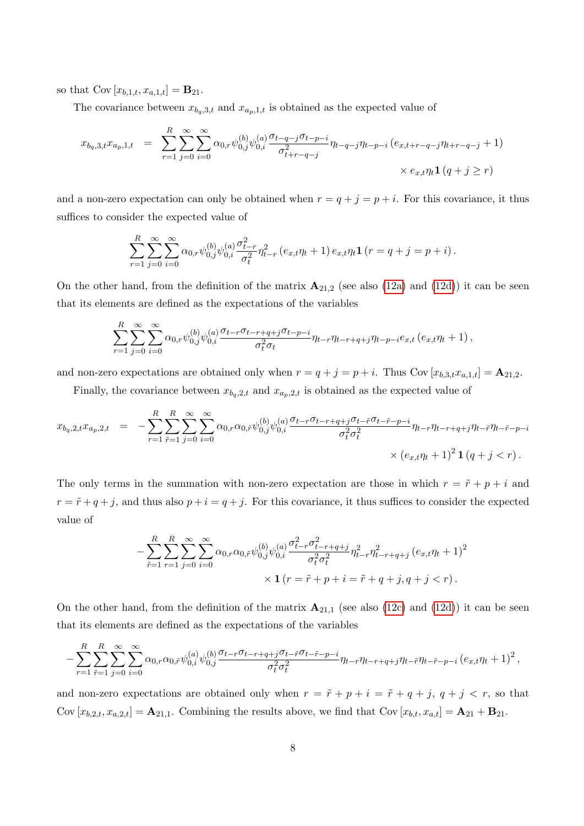so that  $Cov[x_{b,1,t}, x_{a,1,t}] = \mathbf{B}_{21}$ .

The covariance between  $x_{b_q,3,t}$  and  $x_{a_p,1,t}$  is obtained as the expected value of

$$
x_{b_q,3,t}x_{a_p,1,t} = \sum_{r=1}^{R} \sum_{j=0}^{\infty} \sum_{i=0}^{\infty} \alpha_{0,r} \psi_{0,j}^{(b)} \psi_{0,i}^{(a)} \frac{\sigma_{t-q-j} \sigma_{t-p-i}}{\sigma_{t+r-q-j}^2} \eta_{t-q-j} \eta_{t-p-i} (e_{x,t+r-q-j} \eta_{t+r-q-j} + 1)
$$
  
 
$$
\times e_{x,t} \eta_t \mathbf{1} (q+j \geq r)
$$

and a non-zero expectation can only be obtained when  $r = q + j = p + i$ . For this covariance, it thus suffices to consider the expected value of

$$
\sum_{r=1}^{R} \sum_{j=0}^{\infty} \sum_{i=0}^{\infty} \alpha_{0,r} \psi_{0,j}^{(b)} \psi_{0,i}^{(a)} \frac{\sigma_{t-r}^2}{\sigma_t^2} \eta_{t-r}^2 (e_{x,t} \eta_t + 1) e_{x,t} \eta_t \mathbf{1} (r = q + j = p + i).
$$

On the other hand, from the definition of the matrix  $\mathbf{A}_{21,2}$  (see also (12a) and (12d)) it can be seen that its elements are defined as the expectations of the variables

$$
\sum_{r=1}^{R} \sum_{j=0}^{\infty} \sum_{i=0}^{\infty} \alpha_{0,r} \psi_{0,j}^{(b)} \psi_{0,i}^{(a)} \frac{\sigma_{t-r} \sigma_{t-r+q+j} \sigma_{t-p-i}}{\sigma_t^2 \sigma_t} \eta_{t-r} \eta_{t-r+q+j} \eta_{t-p-i} e_{x,t} (e_{x,t} \eta_t + 1),
$$

and non-zero expectations are obtained only when  $r = q + j = p + i$ . Thus Cov  $[x_{b,3,t}x_{a,1,t}] = A_{21,2}$ .

Finally, the covariance between  $x_{b_q,2,t}$  and  $x_{a_p,2,t}$  is obtained as the expected value of

$$
x_{b_q,2,t}x_{a_p,2,t} = -\sum_{r=1}^R \sum_{\tilde{r}=1}^R \sum_{j=0}^\infty \sum_{i=0}^\infty \alpha_{0,r} \alpha_{0,\tilde{r}} \psi_{0,j}^{(b)} \psi_{0,i}^{(a)} \frac{\sigma_{t-r} \sigma_{t-r+q+j} \sigma_{t-\tilde{r}} \sigma_{t-\tilde{r}-p-i}}{\sigma_t^2 \sigma_t^2} \eta_{t-r} \eta_{t-r+q+j} \eta_{t-\tilde{r}} \eta_{t-\tilde{r}-p-i} \times (e_{x,t} \eta_t + 1)^2 \mathbf{1} (q+j < r).
$$

The only terms in the summation with non-zero expectation are those in which  $r = \tilde{r} + p + i$  and  $r = \tilde{r} + q + j$ , and thus also  $p + i = q + j$ . For this covariance, it thus suffices to consider the expected value of

$$
-\sum_{\tilde{r}=1}^{R} \sum_{r=1}^{\infty} \sum_{j=0}^{\infty} \sum_{i=0}^{\infty} \alpha_{0,r} \alpha_{0,\tilde{r}} \psi_{0,j}^{(b)} \psi_{0,i}^{(a)} \frac{\sigma_{t-r}^{2} \sigma_{t-r+q+j}^{2}}{\sigma_{t}^{2} \sigma_{t}^{2}} \eta_{t-r}^{2} \eta_{t-r+q+j}^{2} (e_{x,t} \eta_{t} + 1)^{2} \times \mathbf{1} (r = \tilde{r} + p + i = \tilde{r} + q + j, q + j < r).
$$

On the other hand, from the definition of the matrix  $\mathbf{A}_{21,1}$  (see also (12c) and (12d)) it can be seen that its elements are defined as the expectations of the variables

$$
-\sum_{r=1}^{R}\sum_{\tilde{r}=1}^{R}\sum_{j=0}^{\infty}\sum_{i=0}^{\infty}\alpha_{0,r}\alpha_{0,\tilde{r}}\psi_{0,i}^{(a)}\psi_{0,j}^{(b)}\frac{\sigma_{t-r}\sigma_{t-r+q+j}\sigma_{t-\tilde{r}}\sigma_{t-\tilde{r}-p-i}}{\sigma_{t}^{2}\sigma_{t}^{2}}\eta_{t-r}\eta_{t-r+q+j}\eta_{t-\tilde{r}}\eta_{t-\tilde{r}-p-i}(e_{x,t}\eta_{t}+1)^{2},
$$

and non-zero expectations are obtained only when  $r = \tilde{r} + p + i = \tilde{r} + q + j$ ,  $q + j < r$ , so that Cov  $[x_{b,2,t}, x_{a,2,t}] = \mathbf{A}_{21,1}$ . Combining the results above, we find that Cov  $[x_{b,t}, x_{a,t}] = \mathbf{A}_{21} + \mathbf{B}_{21}$ .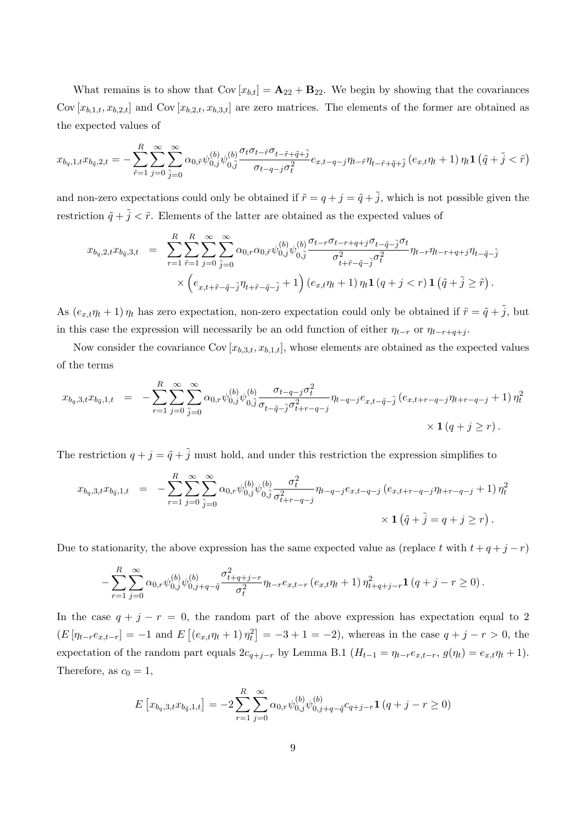What remains is to show that  $Cov[x_{b,t}] = A_{22} + B_{22}$ . We begin by showing that the covariances Cov  $[x_{b,1,t}, x_{b,2,t}]$  and Cov  $[x_{b,2,t}, x_{b,3,t}]$  are zero matrices. The elements of the former are obtained as the expected values of

$$
x_{b_q,1,t}x_{b_{\bar{q}},2,t} = -\sum_{\tilde{r}=1}^{R} \sum_{j=0}^{\infty} \sum_{\tilde{j}=0}^{\infty} \alpha_{0,\tilde{r}} \psi_{0,j}^{(b)} \psi_{0,\tilde{j}}^{(b)} \frac{\sigma_t \sigma_{t-\tilde{r}} \sigma_{t-\tilde{r}+\tilde{q}+\tilde{j}}}{\sigma_{t-q-j} \sigma_t^2} e_{x,t-q-j} \eta_{t-\tilde{r}} \eta_{t-\tilde{r}+\tilde{q}+\tilde{j}} \left(e_{x,t} \eta_t + 1\right) \eta_t \mathbf{1} \left(\tilde{q} + \tilde{j} < \tilde{r}\right)
$$

and non-zero expectations could only be obtained if  $\tilde{r} = q + j = \tilde{q} + \tilde{j}$ , which is not possible given the restriction  $\tilde{q} + \tilde{j} < \tilde{r}$ . Elements of the latter are obtained as the expected values of

$$
x_{b_q,2,t}x_{b_{\tilde{q}},3,t} = \sum_{r=1}^R \sum_{\tilde{r}=1}^R \sum_{j=0}^\infty \sum_{\tilde{j}=0}^\infty \alpha_{0,r} \alpha_{0,\tilde{r}} \psi_{0,j}^{(b)} \psi_{0,\tilde{j}}^{(b)} \frac{\sigma_{t-r} \sigma_{t-r+q+j} \sigma_{t-\tilde{q}-\tilde{j}} \sigma_t}{\sigma_{t+\tilde{r}-\tilde{q}-\tilde{j}}^2 \sigma_t^2} \eta_{t-r} \eta_{t-r+q+j} \eta_{t-\tilde{q}-\tilde{j}} \times \left(e_{x,t+\tilde{r}-\tilde{q}-\tilde{j}} \eta_{t+\tilde{r}-\tilde{q}-\tilde{j}} + 1\right) \left(e_{x,t}\eta_t + 1\right) \eta_t \mathbf{1} \left(q+j < r\right) \mathbf{1} \left(\tilde{q}+\tilde{j} \geq \tilde{r}\right).
$$

As  $(e_{x,t}\eta_t+1)\eta_t$  has zero expectation, non-zero expectation could only be obtained if  $\tilde{r} = \tilde{q} + \tilde{j}$ , but in this case the expression will necessarily be an odd function of either  $\eta_{t-r}$  or  $\eta_{t-r+q+j}$ .

Now consider the covariance Cov  $[x_{b,3,t}, x_{b,1,t}]$ , whose elements are obtained as the expected values of the terms

$$
x_{b_q,3,t}x_{b_{\tilde{q}},1,t} = -\sum_{r=1}^{R} \sum_{j=0}^{\infty} \sum_{\tilde{j}=0}^{\infty} \alpha_{0,r} \psi_{0,j}^{(b)} \psi_{0,\tilde{j}}^{(b)} \frac{\sigma_{t-q-j} \sigma_t^2}{\sigma_{t-\tilde{q}-\tilde{j}} \sigma_{t+r-q-j}^2} \eta_{t-q-j} e_{x,t-\tilde{q}-\tilde{j}} (e_{x,t+r-q-j} \eta_{t+r-q-j} + 1) \eta_t^2
$$
  
 
$$
\times \mathbf{1} (q+j \geq r).
$$

The restriction  $q + j = \tilde{q} + \tilde{j}$  must hold, and under this restriction the expression simplifies to

$$
x_{b_q,3,t}x_{b_{\tilde{q}},1,t} = -\sum_{r=1}^{R} \sum_{j=0}^{\infty} \sum_{\tilde{j}=0}^{\infty} \alpha_{0,r} \psi_{0,j}^{(b)} \psi_{0,\tilde{j}}^{(b)} \frac{\sigma_t^2}{\sigma_{t+r-q-j}^2} \eta_{t-q-j} e_{x,t-q-j} (e_{x,t+r-q-j} \eta_{t+r-q-j} + 1) \eta_t^2
$$
  
 
$$
\times \mathbf{1} (\tilde{q} + \tilde{j} = q + j \geq r).
$$

Due to stationarity, the above expression has the same expected value as (replace t with  $t + q + j - r$ )

$$
-\sum_{r=1}^{R}\sum_{j=0}^{\infty} \alpha_{0,r} \psi_{0,j}^{(b)} \psi_{0,j+q-\tilde{q}}^{(b)} \frac{\sigma_{t+q+j-r}^{2}}{\sigma_{t}^{2}} \eta_{t-r} e_{x,t-r} (e_{x,t} \eta_{t} + 1) \eta_{t+q+j-r}^{2} \mathbf{1} (q+j-r \ge 0).
$$

In the case  $q + j - r = 0$ , the random part of the above expression has expectation equal to 2  $(E[p_{t-r}e_{x,t-r}] = -1$  and  $E[(e_{x,t}\eta_t + 1)\eta_t^2] = -3 + 1 = -2$ , whereas in the case  $q + j - r > 0$ , the expectation of the random part equals  $2c_{q+j-r}$  by Lemma B.1  $(H_{t-1} = \eta_{t-r}e_{x,t-r}, g(\eta_t) = e_{x,t}\eta_t + 1)$ . Therefore, as  $c_0 = 1$ ,

$$
E\left[x_{b_q,3,t}x_{b_{\tilde{q}},1,t}\right] = -2\sum_{r=1}^{R} \sum_{j=0}^{\infty} \alpha_{0,r} \psi_{0,j}^{(b)} \psi_{0,j+q-\tilde{q}}^{(b)} c_{q+j-r} \mathbf{1} \left(q+j-r\geq 0\right)
$$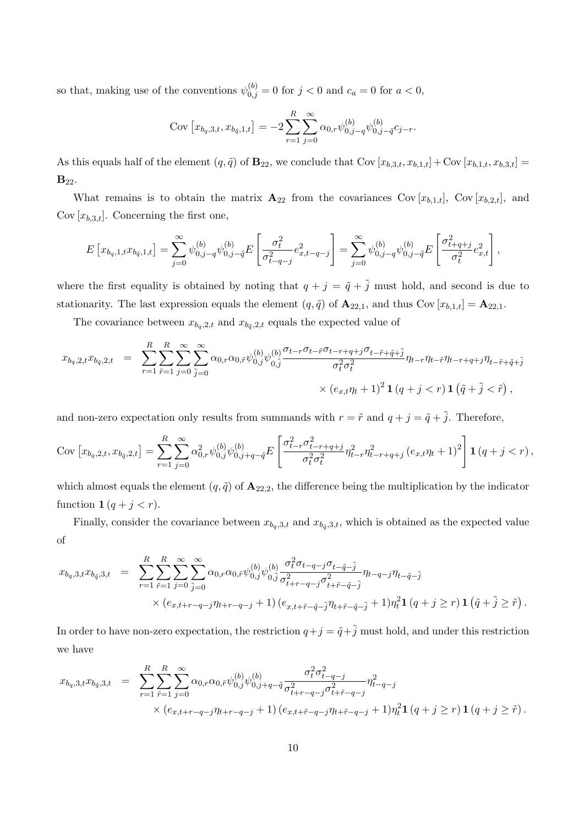so that, making use of the conventions  $\psi_{0,j}^{(b)} = 0$  for  $j < 0$  and  $c_a = 0$  for  $a < 0$ ,

$$
Cov[x_{b_q,3,t}, x_{b_{\tilde{q}},1,t}] = -2\sum_{r=1}^{R} \sum_{j=0}^{\infty} \alpha_{0,r} \psi_{0,j-q}^{(b)} \psi_{0,j-\tilde{q}}^{(b)} c_{j-r}.
$$

As this equals half of the element  $(q, \tilde{q})$  of  $\mathbf{B}_{22}$ , we conclude that Cov  $[x_{b,3,t}, x_{b,1,t}] + \text{Cov}[x_{b,1,t}, x_{b,3,t}] =$  $B_{22}$ .

What remains is to obtain the matrix  $\mathbf{A}_{22}$  from the covariances Cov  $[x_{b,1,t}]$ , Cov  $[x_{b,2,t}]$ , and Cov  $[x_{b,3,t}]$ . Concerning the first one,

$$
E\left[x_{b_q,1,t}x_{b_{\bar{q}},1,t}\right] = \sum_{j=0}^{\infty} \psi_{0,j-q}^{(b)} \psi_{0,j-\bar{q}}^{(b)} E\left[\frac{\sigma_t^2}{\sigma_{t-q-j}^2} e_{x,t-q-j}^2\right] = \sum_{j=0}^{\infty} \psi_{0,j-q}^{(b)} \psi_{0,j-\bar{q}}^{(b)} E\left[\frac{\sigma_{t+q+j}^2}{\sigma_t^2} e_{x,t}^2\right],
$$

where the first equality is obtained by noting that  $q + j = \tilde{q} + \tilde{j}$  must hold, and second is due to stationarity. The last expression equals the element  $(q, \tilde{q})$  of  $\mathbf{A}_{22,1}$ , and thus Cov  $[x_{b,1,t}] = \mathbf{A}_{22,1}$ .

The covariance between  $x_{b_q,2,t}$  and  $x_{b_{\tilde{q}},2,t}$  equals the expected value of

$$
x_{b_q,2,t}x_{b_{\tilde{q}},2,t} = \sum_{r=1}^R \sum_{\tilde{r}=1}^R \sum_{j=0}^\infty \sum_{\tilde{j}=0}^\infty \alpha_{0,r} \alpha_{0,\tilde{r}} \psi_{0,j}^{(b)} \psi_{0,\tilde{j}}^{(b)} \frac{\sigma_{t-r} \sigma_{t-r+q+j} \sigma_{t-\tilde{r}+\tilde{q}+\tilde{j}}}{\sigma_t^2 \sigma_t^2} \eta_{t-r} \eta_{t-r+q+j} \eta_{t-\tilde{r}+\tilde{q}+\tilde{j}} \times (e_{x,t}\eta_t+1)^2 \mathbf{1} (q+j < r) \mathbf{1} (\tilde{q}+\tilde{j} < \tilde{r}),
$$

and non-zero expectation only results from summands with  $r = \tilde{r}$  and  $q + j = \tilde{q} + \tilde{j}$ . Therefore,

$$
Cov\left[x_{b_q,2,t}, x_{b_{\tilde{q}},2,t}\right] = \sum_{r=1}^{R} \sum_{j=0}^{\infty} \alpha_{0,r}^2 \psi_{0,j}^{(b)} \psi_{0,j+q-\tilde{q}}^{(b)} E\left[\frac{\sigma_{t-r}^2 \sigma_{t-r+q+j}^2}{\sigma_t^2 \sigma_t^2} \eta_{t-r}^2 \eta_{t-r+q+j}^2 (e_{x,t} \eta_t + 1)^2\right] \mathbf{1} \left(q + j < r\right),
$$

which almost equals the element  $(q, \tilde{q})$  of  $\mathbf{A}_{22,2}$ , the difference being the multiplication by the indicator function  $1 (q + j < r)$ .

Finally, consider the covariance between  $x_{b_q,3,t}$  and  $x_{b_q,3,t}$ , which is obtained as the expected value of

$$
x_{b_q,3,t}x_{b_{\tilde{q}},3,t} = \sum_{r=1}^{R} \sum_{\tilde{r}=1}^{R} \sum_{j=0}^{\infty} \sum_{\tilde{j}=0}^{\infty} \alpha_{0,r} \alpha_{0,\tilde{r}} \psi_{0,j}^{(b)} \psi_{0,\tilde{j}}^{(b)} \frac{\sigma_t^2 \sigma_{t-q-j} \sigma_{t-\tilde{q}-\tilde{j}}}{\sigma_{t+r-q-j}^2 \sigma_{t+\tilde{r}-\tilde{q}-\tilde{j}}^2} \eta_{t-q-j} \eta_{t-\tilde{q}-\tilde{j}} \times (e_{x,t+r-q-j} \eta_{t+r-q-j} + 1) (e_{x,t+\tilde{r}-\tilde{q}-\tilde{j}} \eta_{t+\tilde{r}-\tilde{q}-\tilde{j}} + 1) \eta_t^2 \mathbf{1} (q+j \geq r) \mathbf{1} (\tilde{q}+\tilde{j} \geq \tilde{r}).
$$

In order to have non-zero expectation, the restriction  $q+j = \tilde{q}+\tilde{j}$  must hold, and under this restriction we have

$$
x_{b_q,3,t}x_{b_{\bar{q}},3,t} = \sum_{r=1}^{R} \sum_{\tilde{r}=1}^{R} \sum_{j=0}^{\infty} \alpha_{0,r} \alpha_{0,\tilde{r}} \psi_{0,j}^{(b)} \psi_{0,j+q-\tilde{q}} \frac{\sigma_t^2 \sigma_{t-q-j}^2}{\sigma_{t+r-q-j}^2 \sigma_{t+\tilde{r}-q-j}^2} \eta_{t-q-j}^2
$$
  
 
$$
\times (e_{x,t+r-q-j} \eta_{t+r-q-j} + 1) (e_{x,t+\tilde{r}-q-j} \eta_{t+\tilde{r}-q-j} + 1) \eta_t^2 \mathbf{1} (q+j \geq r) \mathbf{1} (q+j \geq \tilde{r}).
$$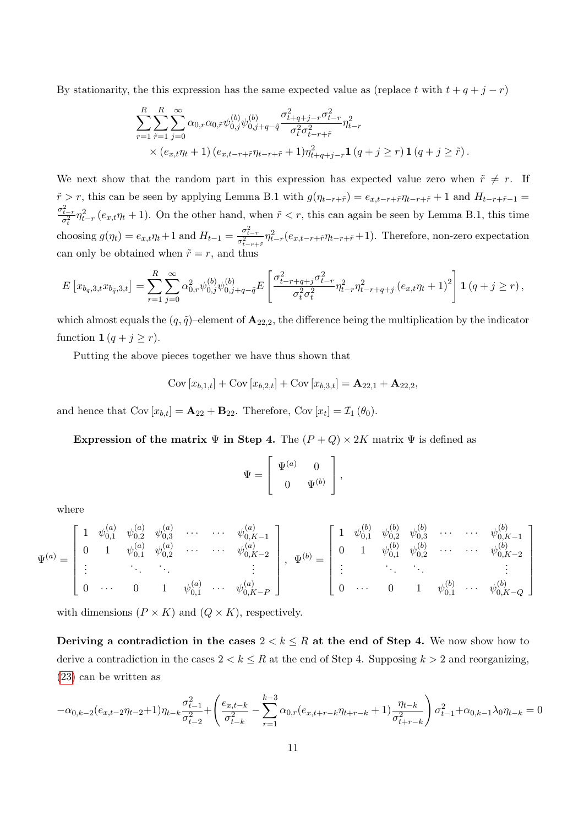By stationarity, the this expression has the same expected value as (replace t with  $t + q + j - r$ )

$$
\sum_{r=1}^{R} \sum_{\tilde{r}=1}^{R} \sum_{j=0}^{\infty} \alpha_{0,r} \alpha_{0,\tilde{r}} \psi_{0,j}^{(b)} \psi_{0,j+q-\tilde{q}}^{(b)} \frac{\sigma_{t+q+j-r}^{2} \sigma_{t-r}^{2}}{\sigma_{t}^{2} \sigma_{t-r+\tilde{r}}^{2}} \eta_{t-r}^{2} \times (e_{x,t}\eta_{t}+1) (e_{x,t-r+\tilde{r}}\eta_{t-r+\tilde{r}}+1)\eta_{t+q+j-r}^{2} \mathbf{1} (q+j \geq r) \mathbf{1} (q+j \geq \tilde{r}).
$$

We next show that the random part in this expression has expected value zero when  $\tilde{r} \neq r$ . If  $\tilde{r} > r$ , this can be seen by applying Lemma B.1 with  $g(\eta_{t-r+\tilde{r}}) = e_{x,t-r+\tilde{r}}\eta_{t-r+\tilde{r}} + 1$  and  $H_{t-r+\tilde{r}-1} =$  $\frac{\sigma_{t-r}^2}{\sigma_t^2} \eta_{t-r}^2 (e_{x,t}\eta_t + 1)$ . On the other hand, when  $\tilde{r} < r$ , this can again be seen by Lemma B.1, this time choosing  $g(\eta_t) = e_{x,t}\eta_t + 1$  and  $H_{t-1} = \frac{\sigma_{t-r}^2}{\sigma_{t-r+\tilde{r}}^2} \eta_{t-r}^2 (e_{x,t-r+\tilde{r}}\eta_{t-r+\tilde{r}} + 1)$ . Therefore, non-zero expectation can only be obtained when  $\tilde{r} = r$ , and thus

$$
E\left[x_{b_q,3,t}x_{b_{\tilde{q}},3,t}\right] = \sum_{r=1}^{R} \sum_{j=0}^{\infty} \alpha_{0,r}^2 \psi_{0,j}^{(b)} \psi_{0,j+q-\tilde{q}}^{(b)} E\left[\frac{\sigma_{t-r+q+j}^2 \sigma_{t-r}^2}{\sigma_t^2 \sigma_t^2} \eta_{t-r}^2 \eta_{t-r+q+j}^2 (e_{x,t} \eta_{t} + 1)^2\right] \mathbf{1} \left(q + j \geq r\right),
$$

which almost equals the  $(q, \tilde{q})$ –element of  $\mathbf{A}_{22,2}$ , the difference being the multiplication by the indicator function  $\mathbf{1} (q + j \geq r)$ .

Putting the above pieces together we have thus shown that

$$
Cov[x_{b,1,t}] + Cov[x_{b,2,t}] + Cov[x_{b,3,t}] = A_{22,1} + A_{22,2},
$$

and hence that  $Cov[x_{b,t}] = \mathbf{A}_{22} + \mathbf{B}_{22}$ . Therefore,  $Cov[x_t] = \mathcal{I}_1(\theta_0)$ .

Expression of the matrix  $\Psi$  in Step 4. The  $(P+Q) \times 2K$  matrix  $\Psi$  is defined as

$$
\Psi = \left[ \begin{array}{cc} \Psi^{(a)} & 0 \\ 0 & \Psi^{(b)} \end{array} \right],
$$

where

$$
\Psi^{(a)} = \begin{bmatrix} 1 & \psi^{(a)}_{0,1} & \psi^{(a)}_{0,2} & \psi^{(a)}_{0,3} & \cdots & \cdots & \psi^{(a)}_{0,K-1} \\ 0 & 1 & \psi^{(a)}_{0,1} & \psi^{(a)}_{0,2} & \cdots & \cdots & \psi^{(a)}_{0,K-2} \\ \vdots & \vdots & \ddots & \vdots & \vdots \\ 0 & \cdots & 0 & 1 & \psi^{(a)}_{0,1} & \cdots & \psi^{(a)}_{0,K-P} \end{bmatrix}, \quad \Psi^{(b)} = \begin{bmatrix} 1 & \psi^{(b)}_{0,1} & \psi^{(b)}_{0,2} & \psi^{(b)}_{0,3} & \cdots & \cdots & \psi^{(b)}_{0,K-1} \\ 0 & 1 & \psi^{(b)}_{0,1} & \psi^{(b)}_{0,2} & \cdots & \cdots & \psi^{(b)}_{0,K-2} \\ \vdots & \vdots & \ddots & \vdots & \vdots \\ 0 & \cdots & 0 & 1 & \psi^{(b)}_{0,1} & \cdots & \psi^{(b)}_{0,K-Q} \end{bmatrix}
$$

with dimensions  $(P \times K)$  and  $(Q \times K)$ , respectively.

Deriving a contradiction in the cases  $2 < k \leq R$  at the end of Step 4. We now show how to derive a contradiction in the cases  $2 < k \leq R$  at the end of Step 4. Supposing  $k > 2$  and reorganizing, (23) can be written as

$$
-\alpha_{0,k-2}(e_{x,t-2}\eta_{t-2}+1)\eta_{t-k}\frac{\sigma_{t-1}^2}{\sigma_{t-2}^2} + \left(\frac{e_{x,t-k}}{\sigma_{t-k}^2}-\sum_{r=1}^{k-3}\alpha_{0,r}(e_{x,t+r-k}\eta_{t+r-k}+1)\frac{\eta_{t-k}}{\sigma_{t+r-k}^2}\right)\sigma_{t-1}^2 + \alpha_{0,k-1}\lambda_0\eta_{t-k} = 0
$$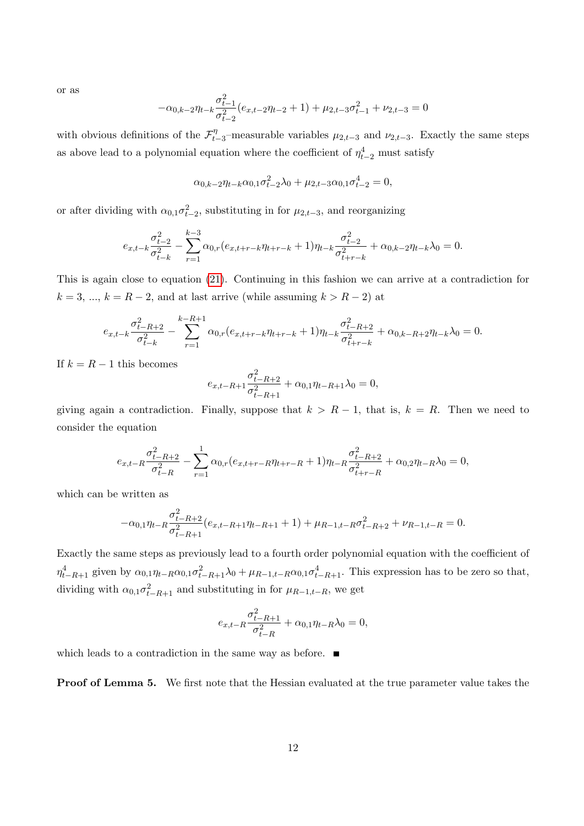or as

$$
-\alpha_{0,k-2}\eta_{t-k}\frac{\sigma_{t-1}^2}{\sigma_{t-2}^2}(e_{x,t-2}\eta_{t-2}+1)+\mu_{2,t-3}\sigma_{t-1}^2+\nu_{2,t-3}=0
$$

with obvious definitions of the  $\mathcal{F}_t^{\eta}$  $t_{t-3}^{\eta}$ -measurable variables  $\mu_{2,t-3}$  and  $\nu_{2,t-3}$ . Exactly the same steps as above lead to a polynomial equation where the coefficient of  $\eta_{t-2}^4$  must satisfy

$$
\alpha_{0,k-2}\eta_{t-k}\alpha_{0,1}\sigma_{t-2}^2\lambda_0 + \mu_{2,t-3}\alpha_{0,1}\sigma_{t-2}^4 = 0,
$$

or after dividing with  $\alpha_{0,1}\sigma_{t-2}^2$ , substituting in for  $\mu_{2,t-3}$ , and reorganizing

$$
e_{x,t-k}\frac{\sigma_{t-2}^2}{\sigma_{t-k}^2} - \sum_{r=1}^{k-3} \alpha_{0,r} (e_{x,t+r-k}\eta_{t+r-k} + 1)\eta_{t-k}\frac{\sigma_{t-2}^2}{\sigma_{t+r-k}^2} + \alpha_{0,k-2}\eta_{t-k}\lambda_0 = 0.
$$

This is again close to equation (21). Continuing in this fashion we can arrive at a contradiction for  $k = 3, ..., k = R - 2$ , and at last arrive (while assuming  $k > R - 2$ ) at

$$
e_{x,t-k}\frac{\sigma_{t-R+2}^2}{\sigma_{t-k}^2} - \sum_{r=1}^{k-R+1} \alpha_{0,r}(e_{x,t+r-k}\eta_{t+r-k} + 1)\eta_{t-k}\frac{\sigma_{t-R+2}^2}{\sigma_{t+r-k}^2} + \alpha_{0,k-R+2}\eta_{t-k}\lambda_0 = 0.
$$

If  $k = R - 1$  this becomes

$$
e_{x,t-R+1} \frac{\sigma_{t-R+2}^2}{\sigma_{t-R+1}^2} + \alpha_{0,1} \eta_{t-R+1} \lambda_0 = 0,
$$

giving again a contradiction. Finally, suppose that  $k > R - 1$ , that is,  $k = R$ . Then we need to consider the equation

$$
e_{x,t-R}\frac{\sigma_{t-R+2}^2}{\sigma_{t-R}^2} - \sum_{r=1}^1 \alpha_{0,r} (e_{x,t+r-R}\eta_{t+r-R} + 1)\eta_{t-R}\frac{\sigma_{t-R+2}^2}{\sigma_{t+r-R}^2} + \alpha_{0,2}\eta_{t-R}\lambda_0 = 0,
$$

which can be written as

$$
-\alpha_{0,1}\eta_{t-R} \frac{\sigma_{t-R+2}^2}{\sigma_{t-R+1}^2}(e_{x,t-R+1}\eta_{t-R+1}+1)+\mu_{R-1,t-R}\sigma_{t-R+2}^2+\nu_{R-1,t-R}=0.
$$

Exactly the same steps as previously lead to a fourth order polynomial equation with the coefficient of  $\eta_{t-R+1}^4$  given by  $\alpha_{0,1}\eta_{t-R}\alpha_{0,1}\sigma_{t-R+1}^2\lambda_0 + \mu_{R-1,t-R}\alpha_{0,1}\sigma_{t-R+1}^4$ . This expression has to be zero so that, dividing with  $\alpha_{0,1}\sigma_{t-R+1}^2$  and substituting in for  $\mu_{R-1,t-R}$ , we get

$$
e_{x,t-R}\frac{\sigma_{t-R+1}^2}{\sigma_{t-R}^2} + \alpha_{0,1}\eta_{t-R}\lambda_0 = 0,
$$

which leads to a contradiction in the same way as before.  $\blacksquare$ 

Proof of Lemma 5. We first note that the Hessian evaluated at the true parameter value takes the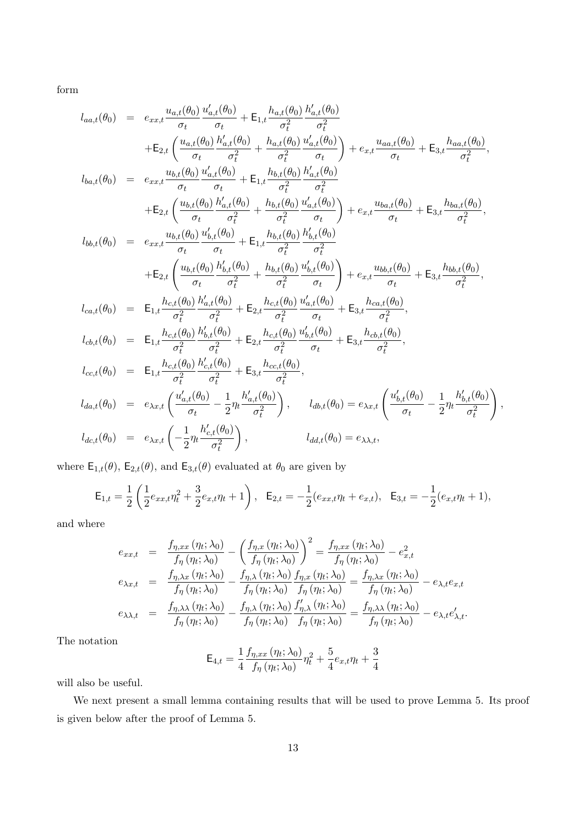form

$$
l_{aa,t}(\theta_{0}) = e_{xx,t} \frac{u_{a,t}(\theta_{0})}{\sigma_{t}} \frac{u'_{a,t}(\theta_{0})}{\sigma_{t}} + E_{1,t} \frac{h_{a,t}(\theta_{0})}{\sigma_{t}^{2}} \frac{h'_{a,t}(\theta_{0})}{\sigma_{t}^{2}} - \frac{h'_{a,t}(\theta_{0})}{\sigma_{t}^{2}} \frac{u'_{a,t}(\theta_{0})}{\sigma_{t}^{2}} + \frac{h_{a,t}(\theta_{0})}{\sigma_{t}^{2}} \frac{u'_{a,t}(\theta_{0})}{\sigma_{t}^{2}} + \frac{h_{a,t}(\theta_{0})}{\sigma_{t}^{2}} \frac{u'_{a,t}(\theta_{0})}{\sigma_{t}^{2}} + \frac{h_{a,t}(\theta_{0})}{\sigma_{t}^{2}} \frac{u'_{a,t}(\theta_{0})}{\sigma_{t}^{2}} + \frac{h_{a,t}(\theta_{0})}{\sigma_{t}^{2}} \frac{h'_{a,t}(\theta_{0})}{\sigma_{t}^{2}} + \frac{h_{b,t}(\theta_{0})}{\sigma_{t}^{2}} \frac{h'_{a,t}(\theta_{0})}{\sigma_{t}^{2}} + \frac{h_{b,t}(\theta_{0})}{\sigma_{t}^{2}} \frac{u'_{a,t}(\theta_{0})}{\sigma_{t}^{2}} + \frac{h_{b,t}(\theta_{0})}{\sigma_{t}^{2}} \frac{u'_{a,t}(\theta_{0})}{\sigma_{t}^{2}} + \frac{h_{b,t}(\theta_{0})}{\sigma_{t}^{2}} \frac{u'_{a,t}(\theta_{0})}{\sigma_{t}^{2}} + \frac{h_{b,t}(\theta_{0})}{\sigma_{t}^{2}} \frac{h'_{b,t}(\theta_{0})}{\sigma_{t}^{2}} + \frac{h_{b,t}(\theta_{0})}{\sigma_{t}^{2}} \frac{h'_{b,t}(\theta_{0})}{\sigma_{t}^{2}} + \frac{h_{b,t}(\theta_{0})}{\sigma_{t}^{2}} \frac{h'_{b,t}(\theta_{0})}{\sigma_{t}^{2}} + \frac{h_{b,t}(\theta_{0})}{\sigma_{t}^{2}} \frac{h'_{b,t}(\theta_{0})}{\sigma_{t}^{2}} + \frac{h_{b,t}(\theta_{0})}{\sigma_{t}^{2}} \frac{h'_{b,t}(\theta_{0})}{\sigma_{t}^{2}} + \frac{h_{b,t
$$

where  $\mathsf{E}_{1,t}(\theta)$ ,  $\mathsf{E}_{2,t}(\theta)$ , and  $\mathsf{E}_{3,t}(\theta)$  evaluated at  $\theta_0$  are given by

$$
\mathsf{E}_{1,t} = \frac{1}{2} \left( \frac{1}{2} e_{xx,t} \eta_t^2 + \frac{3}{2} e_{x,t} \eta_t + 1 \right), \quad \mathsf{E}_{2,t} = -\frac{1}{2} (e_{xx,t} \eta_t + e_{x,t}), \quad \mathsf{E}_{3,t} = -\frac{1}{2} (e_{x,t} \eta_t + 1),
$$

,

and where

$$
e_{xx,t} = \frac{f_{\eta,xx}(\eta_t; \lambda_0)}{f_{\eta}(\eta_t; \lambda_0)} - \left(\frac{f_{\eta,x}(\eta_t; \lambda_0)}{f_{\eta}(\eta_t; \lambda_0)}\right)^2 = \frac{f_{\eta,xx}(\eta_t; \lambda_0)}{f_{\eta}(\eta_t; \lambda_0)} - e_{x,t}^2
$$
  
\n
$$
e_{\lambda x,t} = \frac{f_{\eta,\lambda x}(\eta_t; \lambda_0)}{f_{\eta}(\eta_t; \lambda_0)} - \frac{f_{\eta,\lambda}(\eta_t; \lambda_0)}{f_{\eta}(\eta_t; \lambda_0)} \frac{f_{\eta,x}(\eta_t; \lambda_0)}{f_{\eta}(\eta_t; \lambda_0)} = \frac{f_{\eta,\lambda x}(\eta_t; \lambda_0)}{f_{\eta}(\eta_t; \lambda_0)} - e_{\lambda,t}e_{x,t}
$$
  
\n
$$
e_{\lambda \lambda,t} = \frac{f_{\eta,\lambda \lambda}(\eta_t; \lambda_0)}{f_{\eta}(\eta_t; \lambda_0)} - \frac{f_{\eta,\lambda}(\eta_t; \lambda_0)}{f_{\eta}(\eta_t; \lambda_0)} \frac{f_{\eta,\lambda}(\eta_t; \lambda_0)}{f_{\eta}(\eta_t; \lambda_0)} = \frac{f_{\eta,\lambda \lambda}(\eta_t; \lambda_0)}{f_{\eta}(\eta_t; \lambda_0)} - e_{\lambda,t}e_{\lambda,t}'.
$$

The notation

$$
\mathsf{E}_{4,t} = \frac{1}{4} \frac{f_{\eta,xx}(\eta_t; \lambda_0)}{f_{\eta}(\eta_t; \lambda_0)} \eta_t^2 + \frac{5}{4} e_{x,t} \eta_t + \frac{3}{4}
$$

will also be useful.

We next present a small lemma containing results that will be used to prove Lemma 5. Its proof is given below after the proof of Lemma 5.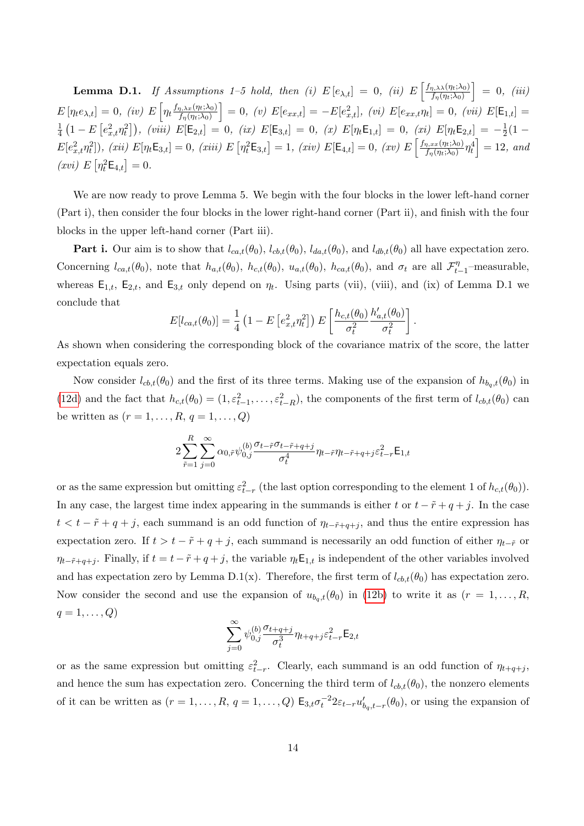**Lemma D.1.** If Assumptions 1–5 hold, then (i)  $E[e_{\lambda,t}] = 0$ , (ii)  $E\left[\frac{f_{\eta,\lambda\lambda}(\eta_t;\lambda_0)}{f_{\eta}(\eta_t;\lambda_0)}\right]$  $f_{\eta}(\eta_t;\lambda_0)$  $\Big] = 0, (iii)$  $E[\eta_t e_{\lambda,t}] = 0$ , (iv)  $E[\eta_t \frac{f_{\eta,\lambda x}(\eta_t;\lambda_0)}{f_n(\eta_t;\lambda_0)}]$  $f_{\eta}(\eta_t;\lambda_0)$  $\Big] = 0, \ (v) \ E[e_{xx,t}] = -E[e_{x,t}^2], \ (vi) \ E[e_{xx,t}\eta_t] = 0, \ (vii) \ E[\mathsf{E}_{1,t}] =$ 1  $\frac{1}{4}\left(1-E\left[e_{x,t}^2\eta_t^2\right]\right)$ , (viii)  $E[\mathsf{E}_{2,t}]=0$ , (ix)  $E[\mathsf{E}_{3,t}]=0$ , (x)  $E[\eta_t\mathsf{E}_{1,t}]=0$ , (xi)  $E[\eta_t\mathsf{E}_{2,t}]=-\frac{1}{2}$  $rac{1}{2}(1 E[e_{x,t}^2 \eta_t^2]$ ), (xii)  $E[\eta_t \mathsf{E}_{3,t}] = 0$ , (xiii)  $E[\eta_t^2 \mathsf{E}_{3,t}] = 1$ , (xiv)  $E[\mathsf{E}_{4,t}] = 0$ , (xv)  $E\left[\frac{f_{\eta,xx}(\eta_t;\lambda_0)}{f_{\eta}(\eta_t;\lambda_0)}\right]$  $\left[\frac{\eta, xx(\eta_t;\lambda_0)}{f_\eta(\eta_t;\lambda_0)} \eta_t^4 \right] = 12$ , and  $(xvi) E\left[\eta_t^2 \mathsf{E}_{4,t}\right] = 0.$ 

We are now ready to prove Lemma 5. We begin with the four blocks in the lower left-hand corner (Part i), then consider the four blocks in the lower right-hand corner (Part ii), and finish with the four blocks in the upper left-hand corner (Part iii).

**Part i.** Our aim is to show that  $l_{ca,t}(\theta_0)$ ,  $l_{cb,t}(\theta_0)$ ,  $l_{da,t}(\theta_0)$ , and  $l_{db,t}(\theta_0)$  all have expectation zero. Concerning  $l_{ca,t}(\theta_0)$ , note that  $h_{a,t}(\theta_0)$ ,  $h_{c,t}(\theta_0)$ ,  $u_{a,t}(\theta_0)$ ,  $h_{ca,t}(\theta_0)$ , and  $\sigma_t$  are all  $\mathcal{F}_t^{\eta}$  $t_{t-1}^{\eta}$ -measurable, whereas  $E_{1,t}$ ,  $E_{2,t}$ , and  $E_{3,t}$  only depend on  $\eta_t$ . Using parts (vii), (viii), and (ix) of Lemma D.1 we conclude that

$$
E[l_{ca,t}(\theta_0)] = \frac{1}{4} \left( 1 - E\left[e_{x,t}^2 \eta_t^2\right]\right) E\left[\frac{h_{c,t}(\theta_0)}{\sigma_t^2} \frac{h'_{a,t}(\theta_0)}{\sigma_t^2}\right].
$$

As shown when considering the corresponding block of the covariance matrix of the score, the latter expectation equals zero.

Now consider  $l_{cb,t}(\theta_0)$  and the first of its three terms. Making use of the expansion of  $h_{b_q,t}(\theta_0)$  in (12d) and the fact that  $h_{c,t}(\theta_0) = (1, \varepsilon_{t-1}^2, \ldots, \varepsilon_{t-R}^2)$ , the components of the first term of  $l_{cb,t}(\theta_0)$  can be written as  $(r = 1, \ldots, R, q = 1, \ldots, Q)$ 

$$
2\sum_{\tilde{r}=1}^{R}\sum_{j=0}^{\infty}\alpha_{0,\tilde{r}}\psi_{0,j}^{(b)}\frac{\sigma_{t-\tilde{r}}\sigma_{t-\tilde{r}+q+j}}{\sigma_t^4}\eta_{t-\tilde{r}}\eta_{t-\tilde{r}+q+j}\varepsilon_{t-r}^2\mathsf{E}_{1,t}
$$

or as the same expression but omitting  $\varepsilon_{t-r}^2$  (the last option corresponding to the element 1 of  $h_{c,t}(\theta_0)$ ). In any case, the largest time index appearing in the summands is either t or  $t - \tilde{r} + q + j$ . In the case  $t < t - \tilde{r} + q + j$ , each summand is an odd function of  $\eta_{t-\tilde{r}+q+j}$ , and thus the entire expression has expectation zero. If  $t > t - \tilde{r} + q + j$ , each summand is necessarily an odd function of either  $\eta_{t-\tilde{r}}$  or  $\eta_{t-\tilde{r}+q+j}$ . Finally, if  $t = t - \tilde{r} + q + j$ , the variable  $\eta_t \mathsf{E}_{1,t}$  is independent of the other variables involved and has expectation zero by Lemma D.1(x). Therefore, the first term of  $l_{cb,t}(\theta_0)$  has expectation zero. Now consider the second and use the expansion of  $u_{b_q,t}(\theta_0)$  in (12b) to write it as  $(r = 1, \ldots, R,$  $q=1,\ldots,Q$ 

$$
\sum_{j=0}^{\infty} \psi_{0,j}^{(b)} \frac{\sigma_{t+q+j}}{\sigma_t^3} \eta_{t+q+j} \varepsilon_{t-r}^2 \mathsf{E}_{2,t}
$$

or as the same expression but omitting  $\varepsilon_{t-r}^2$ . Clearly, each summand is an odd function of  $\eta_{t+q+j}$ , and hence the sum has expectation zero. Concerning the third term of  $l_{cb,t}(\theta_0)$ , the nonzero elements of it can be written as  $(r = 1, \ldots, R, q = 1, \ldots, Q)$   $\mathsf{E}_{3,t} \sigma_t^{-2} 2\varepsilon_{t-r} u'_{b_q,t-r}(\theta_0)$ , or using the expansion of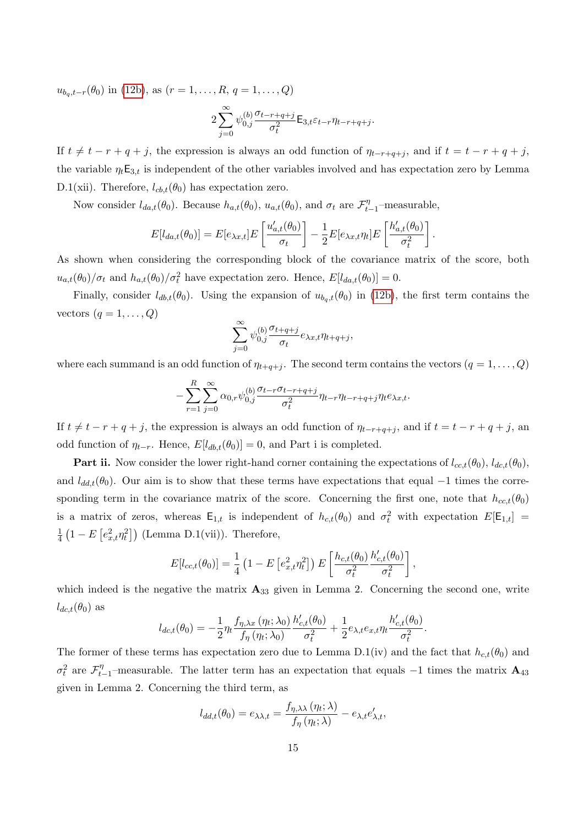$u_{b_q,t-r}(\theta_0)$  in (12b), as  $(r = 1, \ldots, R, q = 1, \ldots, Q)$ 

$$
2\sum_{j=0}^{\infty} \psi_{0,j}^{(b)} \frac{\sigma_{t-r+q+j}}{\sigma_t^2} \mathsf{E}_{3,t} \varepsilon_{t-r} \eta_{t-r+q+j}.
$$

If  $t \neq t - r + q + j$ , the expression is always an odd function of  $\eta_{t-r+q+j}$ , and if  $t = t - r + q + j$ , the variable  $\eta_t \mathsf{E}_{3,t}$  is independent of the other variables involved and has expectation zero by Lemma D.1(xii). Therefore,  $l_{cb,t}(\theta_0)$  has expectation zero.

Now consider  $l_{da,t}(\theta_0)$ . Because  $h_{a,t}(\theta_0)$ ,  $u_{a,t}(\theta_0)$ , and  $\sigma_t$  are  $\mathcal{F}_t^{\eta}$ .  $t_{t-1}^{\eta}$ -measurable,

$$
E[l_{da,t}(\theta_0)] = E[e_{\lambda x,t}]E\left[\frac{u'_{a,t}(\theta_0)}{\sigma_t}\right] - \frac{1}{2}E[e_{\lambda x,t}\eta_t]E\left[\frac{h'_{a,t}(\theta_0)}{\sigma_t^2}\right].
$$

As shown when considering the corresponding block of the covariance matrix of the score, both  $u_{a,t}(\theta_0)/\sigma_t$  and  $h_{a,t}(\theta_0)/\sigma_t^2$  have expectation zero. Hence,  $E[l_{da,t}(\theta_0)] = 0$ .

Finally, consider  $l_{db,t}(\theta_0)$ . Using the expansion of  $u_{b_q,t}(\theta_0)$  in (12b), the first term contains the vectors  $(q = 1, \ldots, Q)$ 

$$
\sum_{j=0}^{\infty} \psi_{0,j}^{(b)} \frac{\sigma_{t+q+j}}{\sigma_t} e_{\lambda x,t} \eta_{t+q+j},
$$

where each summand is an odd function of  $\eta_{t+q+j}$ . The second term contains the vectors  $(q = 1, ..., Q)$ 

$$
-\sum_{r=1}^R\sum_{j=0}^\infty\alpha_{0,r}\psi_{0,j}^{(b)}\frac{\sigma_{t-r}\sigma_{t-r+q+j}}{\sigma_t^2}\eta_{t-r}\eta_{t-r+q+j}\eta_{t}e_{\lambda x,t}.
$$

If  $t \neq t - r + q + j$ , the expression is always an odd function of  $\eta_{t-r+q+j}$ , and if  $t = t - r + q + j$ , and odd function of  $\eta_{t-r}$ . Hence,  $E[l_{db,t}(\theta_0)] = 0$ , and Part i is completed.

**Part ii.** Now consider the lower right-hand corner containing the expectations of  $l_{cc,t}(\theta_0)$ ,  $l_{dc,t}(\theta_0)$ , and  $l_{dd,t}(\theta_0)$ . Our aim is to show that these terms have expectations that equal –1 times the corresponding term in the covariance matrix of the score. Concerning the first one, note that  $h_{cc,t}(\theta_0)$ is a matrix of zeros, whereas  $\mathsf{E}_{1,t}$  is independent of  $h_{c,t}(\theta_0)$  and  $\sigma_t^2$  with expectation  $E[\mathsf{E}_{1,t}]$  = 1  $\frac{1}{4} (1 - E \left[ e_{x,t}^2 \eta_t^2 \right])$  (Lemma D.1(vii)). Therefore,

$$
E[l_{cc,t}(\theta_0)] = \frac{1}{4} \left( 1 - E\left[e_{x,t}^2 \eta_t^2\right]\right) E\left[\frac{h_{c,t}(\theta_0)}{\sigma_t^2} \frac{h'_{c,t}(\theta_0)}{\sigma_t^2}\right],
$$

which indeed is the negative the matrix  $\mathbf{A}_{33}$  given in Lemma 2. Concerning the second one, write  $l_{dc,t}(\theta_0)$  as

$$
l_{dc,t}(\theta_0) = -\frac{1}{2}\eta_t \frac{f_{\eta,\lambda x}(\eta_t; \lambda_0)}{f_{\eta}(\eta_t; \lambda_0)} \frac{h'_{c,t}(\theta_0)}{\sigma_t^2} + \frac{1}{2}e_{\lambda,t}e_{x,t}\eta_t \frac{h'_{c,t}(\theta_0)}{\sigma_t^2}.
$$

The former of these terms has expectation zero due to Lemma D.1(iv) and the fact that  $h_{c,t}(\theta_0)$  and  $\sigma_t^2$  are  $\mathcal{F}_t^{\eta}$  $t_{t-1}$ <sup>η</sup> –measurable. The latter term has an expectation that equals  $-1$  times the matrix  $\mathbf{A}_{43}$ given in Lemma 2. Concerning the third term, as

$$
l_{dd,t}(\theta_0) = e_{\lambda\lambda,t} = \frac{f_{\eta,\lambda\lambda}(\eta_t;\lambda)}{f_{\eta}(\eta_t;\lambda)} - e_{\lambda,t}e'_{\lambda,t},
$$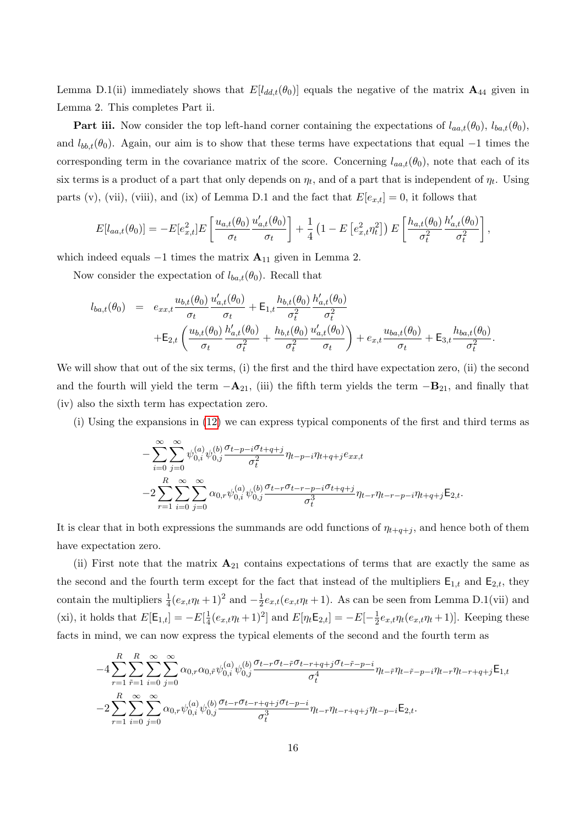Lemma D.1(ii) immediately shows that  $E[l_{dd,t}(\theta_0)]$  equals the negative of the matrix  $\mathbf{A}_{44}$  given in Lemma 2. This completes Part ii.

**Part iii.** Now consider the top left-hand corner containing the expectations of  $l_{aa,t}(\theta_0)$ ,  $l_{ba,t}(\theta_0)$ , and  $l_{bb,t}(\theta_0)$ . Again, our aim is to show that these terms have expectations that equal –1 times the corresponding term in the covariance matrix of the score. Concerning  $l_{aa,t}(\theta_0)$ , note that each of its six terms is a product of a part that only depends on  $\eta_t$ , and of a part that is independent of  $\eta_t$ . Using parts (v), (vii), (viii), and (ix) of Lemma D.1 and the fact that  $E[e_{x,t}] = 0$ , it follows that

$$
E[l_{aa,t}(\theta_0)] = -E[e_{x,t}^2]E\left[\frac{u_{a,t}(\theta_0)}{\sigma_t}\frac{u'_{a,t}(\theta_0)}{\sigma_t}\right] + \frac{1}{4}\left(1 - E\left[e_{x,t}^2 \eta_t^2\right]\right)E\left[\frac{h_{a,t}(\theta_0)}{\sigma_t^2}\frac{h'_{a,t}(\theta_0)}{\sigma_t^2}\right],
$$

which indeed equals  $-1$  times the matrix  $A_{11}$  given in Lemma 2.

Now consider the expectation of  $l_{ba,t}(\theta_0)$ . Recall that

$$
l_{ba,t}(\theta_0) = e_{xx,t} \frac{u_{b,t}(\theta_0)}{\sigma_t} \frac{u'_{a,t}(\theta_0)}{\sigma_t} + \mathsf{E}_{1,t} \frac{h_{b,t}(\theta_0)}{\sigma_t^2} \frac{h'_{a,t}(\theta_0)}{\sigma_t^2} + \mathsf{E}_{2,t} \left( \frac{u_{b,t}(\theta_0)}{\sigma_t} \frac{h'_{a,t}(\theta_0)}{\sigma_t^2} + \frac{h_{b,t}(\theta_0)}{\sigma_t^2} \frac{u'_{a,t}(\theta_0)}{\sigma_t} \right) + e_{x,t} \frac{u_{ba,t}(\theta_0)}{\sigma_t} + \mathsf{E}_{3,t} \frac{h_{ba,t}(\theta_0)}{\sigma_t^2}.
$$

We will show that out of the six terms, (i) the first and the third have expectation zero, (ii) the second and the fourth will yield the term  $-A_{21}$ , (iii) the fifth term yields the term  $-B_{21}$ , and finally that (iv) also the sixth term has expectation zero.

(i) Using the expansions in (12) we can express typical components of the first and third terms as

$$
-\sum_{i=0}^{\infty} \sum_{j=0}^{\infty} \psi_{0,i}^{(a)} \psi_{0,j}^{(b)} \frac{\sigma_{t-p-i} \sigma_{t+q+j}}{\sigma_t^2} \eta_{t-p-i} \eta_{t+q+j} e_{xx,t}
$$
  

$$
-2 \sum_{r=1}^{R} \sum_{i=0}^{\infty} \sum_{j=0}^{\infty} \alpha_{0,r} \psi_{0,i}^{(a)} \psi_{0,j}^{(b)} \frac{\sigma_{t-r} \sigma_{t-r-p-i} \sigma_{t+q+j}}{\sigma_t^3} \eta_{t-r} \eta_{t-r-p-i} \eta_{t+q+j} \mathsf{E}_{2,t}.
$$

It is clear that in both expressions the summands are odd functions of  $\eta_{t+q+j}$ , and hence both of them have expectation zero.

(ii) First note that the matrix  $A_{21}$  contains expectations of terms that are exactly the same as the second and the fourth term except for the fact that instead of the multipliers  $E_{1,t}$  and  $E_{2,t}$ , they contain the multipliers  $\frac{1}{4}(e_{x,t}\eta_t+1)^2$  and  $-\frac{1}{2}$  $\frac{1}{2}e_{x,t}(e_{x,t}\eta_t+1)$ . As can be seen from Lemma D.1(vii) and (xi), it holds that  $E[E_{1,t}] = -E[\frac{1}{4}]$  $\frac{1}{4}(e_{x,t}\eta_t+1)^2]$  and  $E[\eta_t \mathsf{E}_{2,t}]=-E[-\frac{1}{2}]$  $\frac{1}{2}e_{x,t}\eta_t(e_{x,t}\eta_t+1)$ . Keeping these facts in mind, we can now express the typical elements of the second and the fourth term as

$$
-4\sum_{r=1}^{R}\sum_{\tilde{r}=1}^{R}\sum_{i=0}^{\infty}\sum_{j=0}^{\infty}\alpha_{0,r}\alpha_{0,\tilde{r}}\psi_{0,i}^{(a)}\psi_{0,j}^{(b)}\frac{\sigma_{t-r}\sigma_{t-\tilde{r}}\sigma_{t-r+q+j}\sigma_{t-\tilde{r}-p-i}}{\sigma_{t}^{4}}\eta_{t-\tilde{r}}\eta_{t-\tilde{r}-p-i}\eta_{t-r}\eta_{t-r+q+j}\mathsf{E}_{1,t}
$$

$$
-2\sum_{r=1}^{R}\sum_{i=0}^{\infty}\sum_{j=0}^{\infty}\alpha_{0,r}\psi_{0,i}^{(a)}\psi_{0,j}^{(b)}\frac{\sigma_{t-r}\sigma_{t-r+q+j}\sigma_{t-p-i}}{\sigma_{t}^{3}}\eta_{t-r}\eta_{t-r+q+j}\eta_{t-p-i}\mathsf{E}_{2,t}.
$$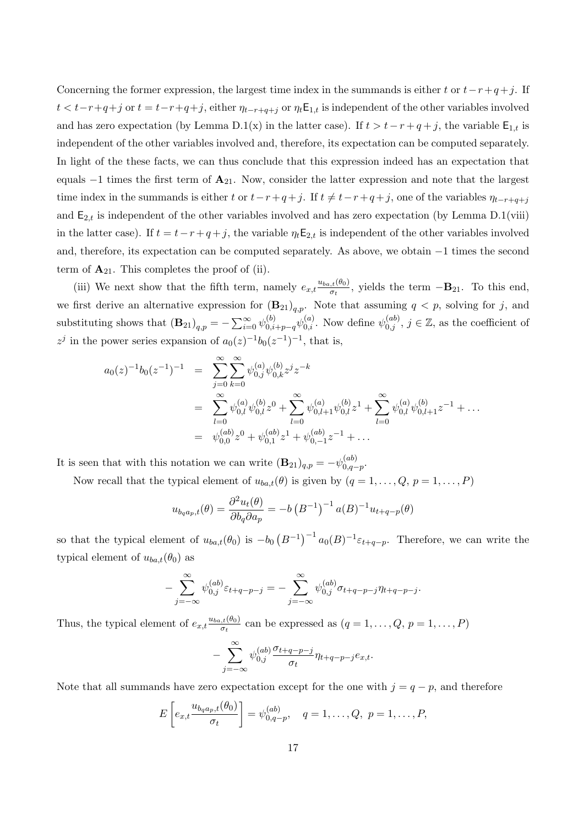Concerning the former expression, the largest time index in the summands is either t or  $t-r+q+j$ . If  $t < t-r+q+j$  or  $t = t-r+q+j$ , either  $\eta_{t-r+q+j}$  or  $\eta_t \mathsf{E}_{1,t}$  is independent of the other variables involved and has zero expectation (by Lemma D.1(x) in the latter case). If  $t > t - r + q + j$ , the variable  $\mathsf{E}_{1,t}$  is independent of the other variables involved and, therefore, its expectation can be computed separately. In light of the these facts, we can thus conclude that this expression indeed has an expectation that equals  $-1$  times the first term of  $\mathbf{A}_{21}$ . Now, consider the latter expression and note that the largest time index in the summands is either t or  $t-r+q+j$ . If  $t \neq t-r+q+j$ , one of the variables  $\eta_{t-r+q+j}$ and  $E_{2,t}$  is independent of the other variables involved and has zero expectation (by Lemma D.1(viii) in the latter case). If  $t = t - r + q + j$ , the variable  $\eta_t \mathsf{E}_{2,t}$  is independent of the other variables involved and, therefore, its expectation can be computed separately. As above, we obtain −1 times the second term of  $A_{21}$ . This completes the proof of (ii).

(iii) We next show that the fifth term, namely  $e_{x,t} \frac{u_{ba,t}(\theta_0)}{\sigma_t}$  $\frac{\partial f(t)}{\partial t}$ , yields the term  $-\mathbf{B}_{21}$ . To this end, we first derive an alternative expression for  $(\mathbf{B}_{21})_{q,p}$ . Note that assuming  $q < p$ , solving for j, and substituting shows that  $(\mathbf{B}_{21})_{q,p} = -\sum_{i=0}^{\infty} \psi_{0,i+p-q}^{(b)} \psi_{0,i}^{(a)}$ . Now define  $\psi_{0,j}^{(ab)}$ ,  $j \in \mathbb{Z}$ , as the coefficient of  $z^{j}$  in the power series expansion of  $a_{0}(z)^{-1}b_{0}(z^{-1})^{-1}$ , that is,

$$
a_0(z)^{-1}b_0(z^{-1})^{-1} = \sum_{j=0}^{\infty} \sum_{k=0}^{\infty} \psi_{0,j}^{(a)} \psi_{0,k}^{(b)} z^j z^{-k}
$$
  
\n
$$
= \sum_{l=0}^{\infty} \psi_{0,l}^{(a)} \psi_{0,l}^{(b)} z^0 + \sum_{l=0}^{\infty} \psi_{0,l+1}^{(a)} \psi_{0,l}^{(b)} z^1 + \sum_{l=0}^{\infty} \psi_{0,l}^{(a)} \psi_{0,l+1}^{(b)} z^{-1} + \dots
$$
  
\n
$$
= \psi_{0,0}^{(ab)} z^0 + \psi_{0,1}^{(ab)} z^1 + \psi_{0,-1}^{(ab)} z^{-1} + \dots
$$

It is seen that with this notation we can write  $(\mathbf{B}_{21})_{q,p} = -\psi^{(ab)}_{0,q}$  $\big\{ \substack{(av)}{0,q-p}.$ 

Now recall that the typical element of  $u_{ba,t}(\theta)$  is given by  $(q = 1, \ldots, Q, p = 1, \ldots, P)$ 

$$
u_{b_q a_p,t}(\theta) = \frac{\partial^2 u_t(\theta)}{\partial b_q \partial a_p} = -b (B^{-1})^{-1} a(B)^{-1} u_{t+q-p}(\theta)
$$

so that the typical element of  $u_{ba,t}(\theta_0)$  is  $-b_0(B^{-1})^{-1}a_0(B)^{-1}\varepsilon_{t+q-p}$ . Therefore, we can write the typical element of  $u_{ba,t}(\theta_0)$  as

$$
-\sum_{j=-\infty}^{\infty} \psi_{0,j}^{(ab)} \varepsilon_{t+q-p-j} = -\sum_{j=-\infty}^{\infty} \psi_{0,j}^{(ab)} \sigma_{t+q-p-j} \eta_{t+q-p-j}.
$$

Thus, the typical element of  $e_{x,t} \frac{u_{ba,t}(\theta_0)}{\sigma_t}$  $\frac{\partial f(t)}{\partial t}$  can be expressed as  $(q = 1, \ldots, Q, p = 1, \ldots, P)$ 

$$
-\sum_{j=-\infty}^{\infty}\psi^{(ab)}_{0,j}\frac{\sigma_{t+q-p-j}}{\sigma_t}\eta_{t+q-p-j}e_{x,t}.
$$

Note that all summands have zero expectation except for the one with  $j = q - p$ , and therefore

$$
E\left[e_{x,t}\frac{u_{b_q a_p,t}(\theta_0)}{\sigma_t}\right] = \psi_{0,q-p}^{(ab)}, \quad q = 1,\ldots,Q, \ p = 1,\ldots,P,
$$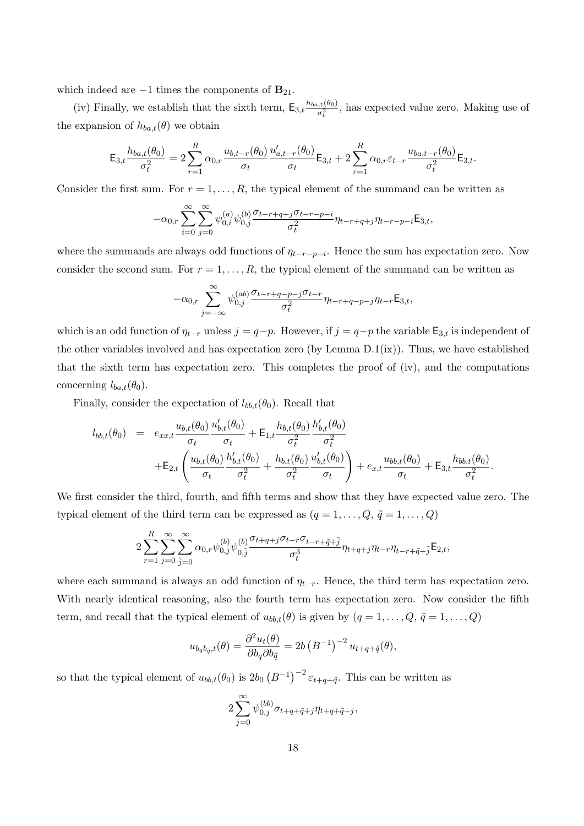which indeed are  $-1$  times the components of  $\mathbf{B}_{21}$ .

(iv) Finally, we establish that the sixth term,  $E_{3,t} \frac{h_{ba,t}(\theta_0)}{\sigma^2}$  $\sigma_t^{i,(t(0))}$ , has expected value zero. Making use of the expansion of  $h_{ba,t}(\theta)$  we obtain

$$
\mathsf{E}_{3,t} \frac{h_{ba,t}(\theta_0)}{\sigma_t^2} = 2 \sum_{r=1}^R \alpha_{0,r} \frac{u_{b,t-r}(\theta_0)}{\sigma_t} \frac{u'_{a,t-r}(\theta_0)}{\sigma_t} \mathsf{E}_{3,t} + 2 \sum_{r=1}^R \alpha_{0,r} \varepsilon_{t-r} \frac{u_{ba,t-r}(\theta_0)}{\sigma_t^2} \mathsf{E}_{3,t}.
$$

Consider the first sum. For  $r = 1, \ldots, R$ , the typical element of the summand can be written as

$$
-\alpha_{0,r}\sum_{i=0}^{\infty}\sum_{j=0}^{\infty}\psi^{(a)}_{0,i}\psi^{(b)}_{0,j}\frac{\sigma_{t-r+q+j}\sigma_{t-r-p-i}}{\sigma_t^2}\eta_{t-r+q+j}\eta_{t-r-p-i}\mathsf{E}_{3,t},
$$

where the summands are always odd functions of  $\eta_{t-r-p-i}$ . Hence the sum has expectation zero. Now consider the second sum. For  $r = 1, \ldots, R$ , the typical element of the summand can be written as

$$
-\alpha_{0,r}\sum_{j=-\infty}^{\infty}\psi_{0,j}^{(ab)}\frac{\sigma_{t-r+q-p-j}\sigma_{t-r}}{\sigma_t^2}\eta_{t-r+q-p-j}\eta_{t-r}\mathsf{E}_{3,t},
$$

which is an odd function of  $\eta_{t-r}$  unless  $j = q-p$ . However, if  $j = q-p$  the variable  $\mathsf{E}_{3,t}$  is independent of the other variables involved and has expectation zero (by Lemma D.1(ix)). Thus, we have established that the sixth term has expectation zero. This completes the proof of (iv), and the computations concerning  $l_{ba,t}(\theta_0)$ .

Finally, consider the expectation of  $l_{bb,t}(\theta_0)$ . Recall that

$$
l_{bb,t}(\theta_0) = e_{xx,t} \frac{u_{b,t}(\theta_0)}{\sigma_t} \frac{u'_{b,t}(\theta_0)}{\sigma_t} + \mathsf{E}_{1,t} \frac{h_{b,t}(\theta_0)}{\sigma_t^2} \frac{h'_{b,t}(\theta_0)}{\sigma_t^2} + \mathsf{E}_{2,t} \left( \frac{u_{b,t}(\theta_0)}{\sigma_t} \frac{h'_{b,t}(\theta_0)}{\sigma_t^2} + \frac{h_{b,t}(\theta_0)}{\sigma_t^2} \frac{u'_{b,t}(\theta_0)}{\sigma_t} \right) + e_{x,t} \frac{u_{bb,t}(\theta_0)}{\sigma_t} + \mathsf{E}_{3,t} \frac{h_{bb,t}(\theta_0)}{\sigma_t^2}.
$$

We first consider the third, fourth, and fifth terms and show that they have expected value zero. The typical element of the third term can be expressed as  $(q = 1, ..., Q, \tilde{q} = 1, ..., Q)$ 

$$
2\sum_{r=1}^R\sum_{j=0}^\infty\sum_{\tilde{j}=0}^\infty\alpha_{0,r}\psi_{0,j}^{(b)}\psi_{0,\tilde{j}}^{(b)}\frac{\sigma_{t+q+j}\sigma_{t-r}\sigma_{t-r+\tilde{q}+\tilde{j}}}{\sigma_t^3}\eta_{t+q+j}\eta_{t-r}\eta_{t-r+\tilde{q}+\tilde{j}}\mathsf{E}_{2,t},
$$

where each summand is always an odd function of  $\eta_{t-r}$ . Hence, the third term has expectation zero. With nearly identical reasoning, also the fourth term has expectation zero. Now consider the fifth term, and recall that the typical element of  $u_{bb,t}(\theta)$  is given by  $(q = 1, \ldots, Q, \tilde{q} = 1, \ldots, Q)$ 

$$
u_{b_q b_{\tilde{q}},t}(\theta) = \frac{\partial^2 u_t(\theta)}{\partial b_q \partial b_{\tilde{q}}} = 2b (B^{-1})^{-2} u_{t+q+\tilde{q}}(\theta),
$$

so that the typical element of  $u_{bb,t}(\theta_0)$  is  $2b_0 (B^{-1})^{-2} \varepsilon_{t+q+\tilde{q}}$ . This can be written as

$$
2\sum_{j=0}^{\infty} \psi_{0,j}^{(bb)}\sigma_{t+q+\tilde{q}+j}\eta_{t+q+\tilde{q}+j},
$$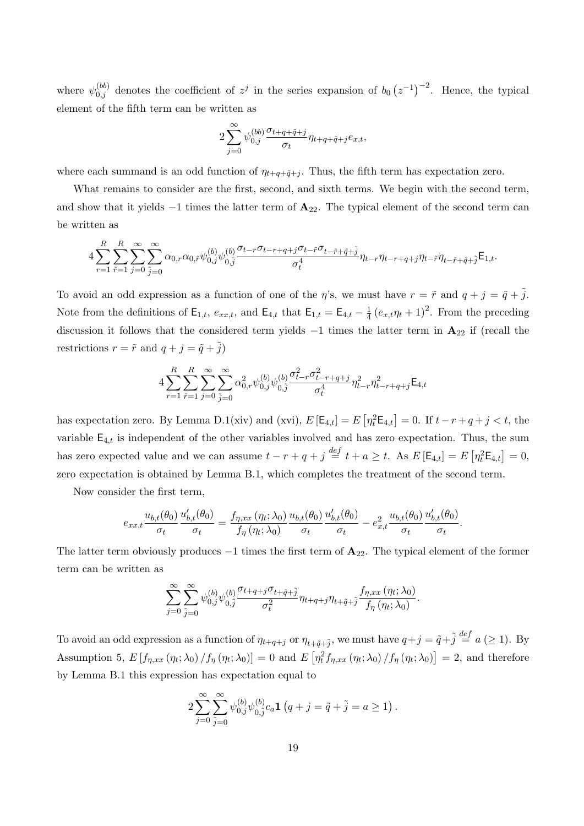where  $\psi_{0,j}^{(bb)}$  denotes the coefficient of  $z^j$  in the series expansion of  $b_0 (z^{-1})^{-2}$ . Hence, the typical element of the fifth term can be written as

$$
2\sum_{j=0}^{\infty}\psi_{0,j}^{(bb)}\frac{\sigma_{t+q+\tilde{q}+j}}{\sigma_t}\eta_{t+q+\tilde{q}+j}e_{x,t},
$$

where each summand is an odd function of  $\eta_{t+q+\tilde{q}+j}$ . Thus, the fifth term has expectation zero.

What remains to consider are the first, second, and sixth terms. We begin with the second term, and show that it yields  $-1$  times the latter term of  $\mathbf{A}_{22}$ . The typical element of the second term can be written as

$$
4\sum_{r=1}^R\sum_{\tilde{r}=1}^R\sum_{j=0}^\infty\sum_{\tilde{j}=0}^\infty\alpha_{0,r}\alpha_{0,\tilde{r}}\psi_{0,j}^{(b)}\psi_{0,\tilde{j}}^{(b)}\frac{\sigma_{t-r}\sigma_{t-r+q+j}\sigma_{t-\tilde{r}}\sigma_{t-\tilde{r}+\tilde{q}+\tilde{j}}}{\sigma_t^4}\eta_{t-r}\eta_{t-r+q+j}\eta_{t-\tilde{r}+\tilde{q}+\tilde{j}}\mathsf{E}_{1,t}.
$$

To avoid an odd expression as a function of one of the  $\eta$ 's, we must have  $r = \tilde{r}$  and  $q + j = \tilde{q} + \tilde{j}$ . Note from the definitions of  $\mathsf{E}_{1,t}$ ,  $e_{xx,t}$ , and  $\mathsf{E}_{4,t}$  that  $\mathsf{E}_{1,t} = \mathsf{E}_{4,t} - \frac{1}{4}$  $\frac{1}{4} (e_{x,t} \eta_t + 1)^2$ . From the preceding discussion it follows that the considered term yields  $-1$  times the latter term in  $\mathbf{A}_{22}$  if (recall the restrictions  $r = \tilde{r}$  and  $q + j = \tilde{q} + \tilde{j}$ )

$$
4\sum_{r=1}^{R}\sum_{\tilde{r}=1}^{R}\sum_{j=0}^{\infty}\sum_{\tilde{j}=0}^{\infty}\alpha_{0,r}^{2}\psi_{0,j}^{(b)}\psi_{0,\tilde{j}}^{(b)}\frac{\sigma_{t-r}^{2}\sigma_{t-r+q+j}^{2}}{\sigma_{t}^{4}}\eta_{t-r}^{2}\eta_{t-r+q+j}^{2}\mathsf{E}_{4,t}
$$

has expectation zero. By Lemma D.1(xiv) and (xvi),  $E\left[\mathsf{E}_{4,t}\right] = E\left[\eta_t^2 \mathsf{E}_{4,t}\right] = 0$ . If  $t - r + q + j < t$ , the variable  $E_{4,t}$  is independent of the other variables involved and has zero expectation. Thus, the sum has zero expected value and we can assume  $t - r + q + j \stackrel{def}{=} t + a \geq t$ . As  $E\left[\mathsf{E}_{4,t}\right] = E\left[\eta_t^2 \mathsf{E}_{4,t}\right] = 0$ , zero expectation is obtained by Lemma B.1, which completes the treatment of the second term.

Now consider the first term,

$$
e_{xx,t}\frac{u_{b,t}(\theta_0)}{\sigma_t}\frac{u'_{b,t}(\theta_0)}{\sigma_t} = \frac{f_{\eta,xx}\left(\eta_t;\lambda_0\right)}{f_{\eta}\left(\eta_t;\lambda_0\right)}\frac{u_{b,t}(\theta_0)}{\sigma_t}\frac{u'_{b,t}(\theta_0)}{\sigma_t} - e_{x,t}^2\frac{u_{b,t}(\theta_0)}{\sigma_t}\frac{u'_{b,t}(\theta_0)}{\sigma_t}.
$$

The latter term obviously produces  $-1$  times the first term of  $\mathbf{A}_{22}$ . The typical element of the former term can be written as

$$
\sum_{j=0}^{\infty}\sum_{\tilde{j}=0}^{\infty}\psi_{0,j}^{(b)}\psi_{0,\tilde{j}}^{(b)}\frac{\sigma_{t+q+j}\sigma_{t+\tilde{q}+\tilde{j}}}{\sigma_t^2}\eta_{t+q+j}\eta_{t+\tilde{q}+\tilde{j}}\frac{f_{\eta,xx}\left(\eta_t;\lambda_0\right)}{f_{\eta}\left(\eta_t;\lambda_0\right)}.
$$

To avoid an odd expression as a function of  $\eta_{t+q+j}$  or  $\eta_{t+\tilde{q}+\tilde{j}}$ , we must have  $q+j=\tilde{q}+\tilde{j} \stackrel{def}{=} a \ (\geq 1)$ . By Assumption 5,  $E[f_{\eta,xx}(\eta_t;\lambda_0)/f_{\eta}(\eta_t;\lambda_0)]=0$  and  $E[\eta_t^2f_{\eta,xx}(\eta_t;\lambda_0)/f_{\eta}(\eta_t;\lambda_0)]=2$ , and therefore by Lemma B.1 this expression has expectation equal to

$$
2\sum_{j=0}^{\infty}\sum_{\tilde{j}=0}^{\infty}\psi_{0,j}^{(b)}\psi_{0,\tilde{j}}^{(b)}c_a\mathbf{1}\left(q+j=\tilde{q}+\tilde{j}=a\geq 1\right).
$$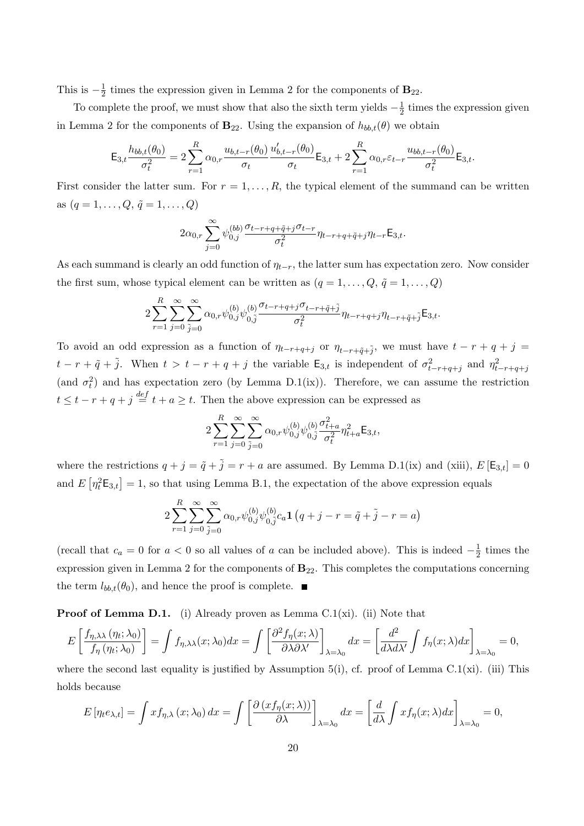This is  $-\frac{1}{2}$  $\frac{1}{2}$  times the expression given in Lemma 2 for the components of  $B_{22}$ .

To complete the proof, we must show that also the sixth term yields  $-\frac{1}{2}$  $\frac{1}{2}$  times the expression given in Lemma 2 for the components of  $\mathbf{B}_{22}$ . Using the expansion of  $h_{bb,t}(\theta)$  we obtain

$$
\mathsf{E}_{3,t} \frac{h_{bb,t}(\theta_0)}{\sigma_t^2} = 2 \sum_{r=1}^R \alpha_{0,r} \frac{u_{b,t-r}(\theta_0)}{\sigma_t} \frac{u'_{b,t-r}(\theta_0)}{\sigma_t} \mathsf{E}_{3,t} + 2 \sum_{r=1}^R \alpha_{0,r} \varepsilon_{t-r} \frac{u_{bb,t-r}(\theta_0)}{\sigma_t^2} \mathsf{E}_{3,t}.
$$

First consider the latter sum. For  $r = 1, \ldots, R$ , the typical element of the summand can be written as  $(q = 1, ..., Q, \tilde{q} = 1, ..., Q)$ 

$$
2\alpha_{0,r}\sum_{j=0}^{\infty}\psi_{0,j}^{(bb)}\frac{\sigma_{t-r+q+\tilde{q}+j}\sigma_{t-r}}{\sigma_t^2}\eta_{t-r+q+\tilde{q}+j}\eta_{t-r}\mathsf{E}_{3,t}.
$$

As each summand is clearly an odd function of  $\eta_{t-r}$ , the latter sum has expectation zero. Now consider the first sum, whose typical element can be written as  $(q = 1, \ldots, Q, \tilde{q} = 1, \ldots, Q)$ 

$$
2\sum_{r=1}^{R}\sum_{j=0}^{\infty}\sum_{\tilde{j}=0}^{\infty}\alpha_{0,r}\psi_{0,j}^{(b)}\psi_{0,\tilde{j}}^{(b)}\frac{\sigma_{t-r+q+j}\sigma_{t-r+\tilde{q}+\tilde{j}}}{\sigma_{t}^{2}}\eta_{t-r+q+j}\eta_{t-r+\tilde{q}+\tilde{j}}\mathsf{E}_{3,t}.
$$

To avoid an odd expression as a function of  $\eta_{t-r+q+j}$  or  $\eta_{t-r+\tilde{q}+\tilde{j}}$ , we must have  $t-r+q+j=$  $t-r+\tilde{q}+\tilde{j}$ . When  $t>t-r+q+j$  the variable  $\mathsf{E}_{3,t}$  is independent of  $\sigma_{t-r+q+j}^2$  and  $\eta_{t-r+q+j}^2$ (and  $\sigma_t^2$ ) and has expectation zero (by Lemma D.1(ix)). Therefore, we can assume the restriction  $t \leq t - r + q + j \stackrel{def}{=} t + a \geq t$ . Then the above expression can be expressed as

$$
2\sum_{r=1}^{R}\sum_{j=0}^{\infty}\sum_{\tilde{j}=0}^{\infty}\alpha_{0,r}\psi_{0,j}^{(b)}\psi_{0,\tilde{j}}^{(b)}\frac{\sigma_{t+a}^{2}}{\sigma_{t}^{2}}\eta_{t+a}^{2}\mathsf{E}_{3,t},
$$

where the restrictions  $q + j = \tilde{q} + \tilde{j} = r + a$  are assumed. By Lemma D.1(ix) and (xiii),  $E[\mathsf{E}_{3,t}] = 0$ and  $E\left[\eta_t^2 \mathbf{E}_{3,t}\right] = 1$ , so that using Lemma B.1, the expectation of the above expression equals

$$
2\sum_{r=1}^{R} \sum_{j=0}^{\infty} \sum_{\tilde{j}=0}^{\infty} \alpha_{0,r} \psi_{0,\tilde{j}}^{(b)} \psi_{0,\tilde{j}}^{(b)} c_a \mathbf{1} (q+j-r=\tilde{q}+\tilde{j}-r=a)
$$

(recall that  $c_a = 0$  for  $a < 0$  so all values of a can be included above). This is indeed  $-\frac{1}{2}$  $rac{1}{2}$  times the expression given in Lemma 2 for the components of  $B_{22}$ . This completes the computations concerning the term  $l_{bb,t}(\theta_0)$ , and hence the proof is complete.

**Proof of Lemma D.1.** (i) Already proven as Lemma C.1(xi). (ii) Note that

$$
E\left[\frac{f_{\eta,\lambda\lambda}(\eta_t;\lambda_0)}{f_{\eta}(\eta_t;\lambda_0)}\right] = \int f_{\eta,\lambda\lambda}(x;\lambda_0)dx = \int \left[\frac{\partial^2 f_{\eta}(x;\lambda)}{\partial \lambda \partial \lambda'}\right]_{\lambda=\lambda_0}dx = \left[\frac{d^2}{d\lambda d\lambda'}\int f_{\eta}(x;\lambda)dx\right]_{\lambda=\lambda_0} = 0,
$$

where the second last equality is justified by Assumption 5(i), cf. proof of Lemma C.1(xi). (iii) This holds because

$$
E\left[\eta_t e_{\lambda,t}\right] = \int x f_{\eta,\lambda}\left(x;\lambda_0\right) dx = \int \left[\frac{\partial \left(x f_{\eta}(x;\lambda)\right)}{\partial \lambda}\right]_{\lambda=\lambda_0} dx = \left[\frac{d}{d\lambda} \int x f_{\eta}(x;\lambda) dx\right]_{\lambda=\lambda_0} = 0,
$$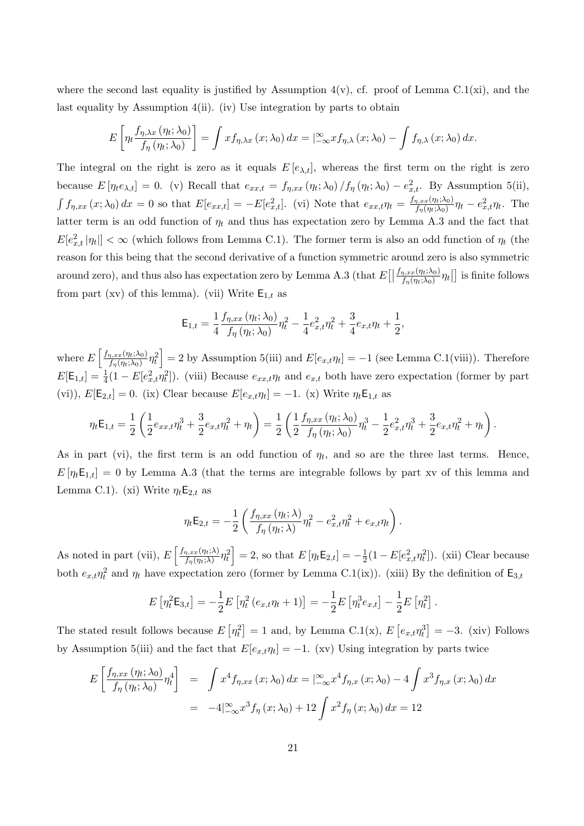where the second last equality is justified by Assumption  $4(v)$ , cf. proof of Lemma C.1(xi), and the last equality by Assumption 4(ii). (iv) Use integration by parts to obtain

$$
E\left[\eta_t \frac{f_{\eta,\lambda x}(\eta_t; \lambda_0)}{f_{\eta}(\eta_t; \lambda_0)}\right] = \int x f_{\eta,\lambda x}(x; \lambda_0) dx = \int_{-\infty}^{\infty} x f_{\eta,\lambda}(x; \lambda_0) - \int f_{\eta,\lambda}(x; \lambda_0) dx.
$$

The integral on the right is zero as it equals  $E[e_{\lambda,t}]$ , whereas the first term on the right is zero because  $E[\eta_t e_{\lambda,t}] = 0$ . (v) Recall that  $e_{xx,t} = f_{\eta,xx}(\eta_t; \lambda_0) / f_{\eta}(\eta_t; \lambda_0) - e_{x,t}^2$ . By Assumption 5(ii),  $\int f_{\eta,xx}(x;\lambda_0) dx = 0$  so that  $E[e_{xx,t}] = -E[e_{x,t}^2]$ . (vi) Note that  $e_{xx,t}\eta_t = \frac{f_{\eta,xx}(\eta_t;\lambda_0)}{f_{\eta}(\eta_t;\lambda_0)}$  $\frac{\eta, xx(\eta_t;\lambda_0)}{f_\eta(\eta_t;\lambda_0)}\eta_t - e_{x,t}^2\eta_t$ . The latter term is an odd function of  $\eta_t$  and thus has expectation zero by Lemma A.3 and the fact that  $E[e_{x,t}^2 | \eta_t]] < \infty$  (which follows from Lemma C.1). The former term is also an odd function of  $\eta_t$  (the reason for this being that the second derivative of a function symmetric around zero is also symmetric around zero), and thus also has expectation zero by Lemma A.3 (that  $E[|$  $f_{\eta,xx}(\eta_t;\lambda_0)$  $\frac{\eta, xx(\eta_t;\lambda_0)}{f_\eta(\eta_t;\lambda_0)}\eta_t\big\vert\big]$  is finite follows from part (xv) of this lemma). (vii) Write  $E_{1,t}$  as

$$
\mathsf{E}_{1,t}=\frac{1}{4}\frac{f_{\eta,xx}\left(\eta_{t};\lambda_{0}\right)}{f_{\eta}\left(\eta_{t};\lambda_{0}\right)}\eta_{t}^{2}-\frac{1}{4}e_{x,t}^{2}\eta_{t}^{2}+\frac{3}{4}e_{x,t}\eta_{t}+\frac{1}{2},
$$

where  $E\left[\frac{f_{\eta,xx}(\eta_t;\lambda_0)}{f(\eta_t;\lambda_0)}\right]$  $\left[\frac{\eta_{1}x_{\mathcal{X}}(\eta_{t};\lambda_{0})}{f_{\eta}(\eta_{t};\lambda_{0})}\eta_{t}^{2}\right]=2$  by Assumption 5(iii) and  $E[e_{x,t}\eta_{t}]=-1$  (see Lemma C.1(viii)). Therefore  $E[\mathsf{E}_{1,t}] = \frac{1}{4}(1 - E[e_{x,t}^2 \eta_t^2])$ . (viii) Because  $e_{xx,t}\eta_t$  and  $e_{x,t}$  both have zero expectation (former by part (vi)),  $E[E_{2,t}] = 0$ . (ix) Clear because  $E[e_{x,t}\eta_t] = -1$ . (x) Write  $\eta_t E_{1,t}$  as

$$
\eta_t \mathsf{E}_{1,t} = \frac{1}{2} \left( \frac{1}{2} e_{xx,t} \eta_t^3 + \frac{3}{2} e_{x,t} \eta_t^2 + \eta_t \right) = \frac{1}{2} \left( \frac{1}{2} \frac{f_{\eta,xx} \left( \eta_t; \lambda_0 \right)}{f_{\eta} \left( \eta_t; \lambda_0 \right)} \eta_t^3 - \frac{1}{2} e_{x,t}^2 \eta_t^3 + \frac{3}{2} e_{x,t} \eta_t^2 + \eta_t \right).
$$

As in part (vi), the first term is an odd function of  $\eta_t$ , and so are the three last terms. Hence,  $E[\eta_t E_{1,t}] = 0$  by Lemma A.3 (that the terms are integrable follows by part xv of this lemma and Lemma C.1). (xi) Write  $\eta_t \mathsf{E}_{2,t}$  as

$$
\eta_t \mathsf{E}_{2,t} = -\frac{1}{2} \left( \frac{f_{\eta,xx}(\eta_t;\lambda)}{f_{\eta}(\eta_t;\lambda)} \eta_t^2 - e_{x,t}^2 \eta_t^2 + e_{x,t} \eta_t \right).
$$

As noted in part (vii),  $E\left[\frac{f_{\eta,xx}(\eta_t;\lambda)}{f_{\eta}(x,\lambda)}\right]$  $\left[\frac{\eta_{t} x x(\eta_{t};\lambda)}{f_{\eta}(\eta_{t};\lambda)} \eta_{t}^{2}\right] = 2$ , so that  $E\left[\eta_{t} \mathsf{E}_{2,t}\right] = -\frac{1}{2}$  $\frac{1}{2}(1 - E[e_{x,t}^2 \eta_t^2])$ . (xii) Clear because both  $e_{x,t}\eta_t^2$  and  $\eta_t$  have expectation zero (former by Lemma C.1(ix)). (xiii) By the definition of  $\mathsf{E}_{3,t}$ 

$$
E\left[\eta_t^2 \mathsf{E}_{3,t}\right] = -\frac{1}{2} E\left[\eta_t^2 \left(e_{x,t} \eta_t + 1\right)\right] = -\frac{1}{2} E\left[\eta_t^3 e_{x,t}\right] - \frac{1}{2} E\left[\eta_t^2\right].
$$

The stated result follows because  $E\left[\eta_t^2\right] = 1$  and, by Lemma C.1(x),  $E\left[e_{x,t}\eta_t^3\right] = -3$ . (xiv) Follows by Assumption 5(iii) and the fact that  $E[e_{x,t}\eta_t] = -1$ . (xv) Using integration by parts twice

$$
E\left[\frac{f_{\eta,xx}(\eta_t; \lambda_0)}{f_{\eta}(\eta_t; \lambda_0)} \eta_t^4\right] = \int x^4 f_{\eta,xx}(x; \lambda_0) dx = \left[\frac{\infty}{-\infty} x^4 f_{\eta,x}(x; \lambda_0) - 4 \int x^3 f_{\eta,x}(x; \lambda_0) dx\right]
$$
  
= 
$$
-4\left[\frac{\infty}{-\infty} x^3 f_{\eta}(x; \lambda_0) + 12 \int x^2 f_{\eta}(x; \lambda_0) dx = 12
$$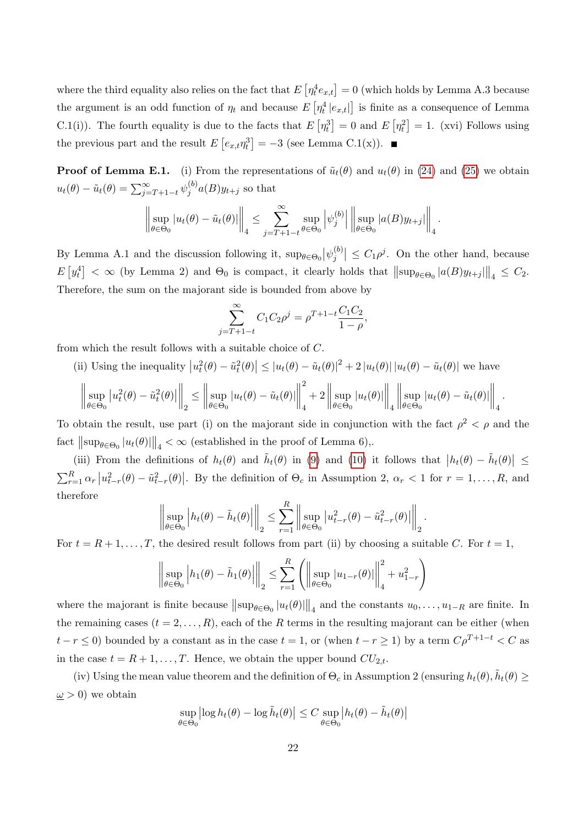where the third equality also relies on the fact that  $E\left[\eta_t^4 e_{x,t}\right] = 0$  (which holds by Lemma A.3 because the argument is an odd function of  $\eta_t$  and because  $E\left[\eta_t^4 | e_{x,t}|\right]$  is finite as a consequence of Lemma C.1(i)). The fourth equality is due to the facts that  $E[\eta_t^3] = 0$  and  $E[\eta_t^2] = 1$ . (xvi) Follows using the previous part and the result  $E\left[e_{x,t}\eta_t^3\right] = -3$  (see Lemma C.1(x)).

**Proof of Lemma E.1.** (i) From the representations of  $\tilde{u}_t(\theta)$  and  $u_t(\theta)$  in (24) and (25) we obtain  $u_t(\theta) - \tilde{u}_t(\theta) = \sum_{j=T+1-t}^{\infty} \psi_j^{(b)}$  $j^{(0)} a(B) y_{t+j}$  so that

$$
\left\|\sup_{\theta\in\Theta_0}|u_t(\theta)-\tilde{u}_t(\theta)|\right\|_4 \leq \sum_{j=T+1-t}^{\infty}\sup_{\theta\in\Theta_0}\left|\psi_j^{(b)}\right|\left\|\sup_{\theta\in\Theta_0}|a(B)y_{t+j}|\right\|_4.
$$

By Lemma A.1 and the discussion following it,  $\sup_{\theta \in \Theta_0} |\psi_j^{(b)}\rangle$  $\left|\sum_{j=1}^{(b)}\right| \leq C_1 \rho^j$ . On the other hand, because  $E[y_t^4] < \infty$  (by Lemma 2) and  $\Theta_0$  is compact, it clearly holds that  $\|\sup_{\theta \in \Theta_0} |a(B)y_{t+j}|\|_4 \leq C_2$ . Therefore, the sum on the majorant side is bounded from above by

$$
\sum_{j=T+1-t}^{\infty} C_1 C_2 \rho^j = \rho^{T+1-t} \frac{C_1 C_2}{1-\rho},
$$

from which the result follows with a suitable choice of C.

(ii) Using the inequality 
$$
|u_t^2(\theta) - \tilde{u}_t^2(\theta)| \leq |u_t(\theta) - \tilde{u}_t(\theta)|^2 + 2|u_t(\theta)||u_t(\theta) - \tilde{u}_t(\theta)|
$$
 we have

$$
\left\|\sup_{\theta\in\Theta_0}|u_t^2(\theta)-\tilde u_t^2(\theta)|\right\|_2\leq \left\|\sup_{\theta\in\Theta_0}|u_t(\theta)-\tilde u_t(\theta)|\right\|_4^2+2\left\|\sup_{\theta\in\Theta_0}|u_t(\theta)|\right\|_4\left\|\sup_{\theta\in\Theta_0}|u_t(\theta)-\tilde u_t(\theta)|\right\|_4.
$$

To obtain the result, use part (i) on the majorant side in conjunction with the fact  $\rho^2 < \rho$  and the fact  $\|\sup_{\theta \in \Theta_0} |u_t(\theta)|\|_4 < \infty$  (established in the proof of Lemma 6),.

(iii) From the definitions of  $h_t(\theta)$  and  $\tilde{h}_t(\theta)$  in (9) and (10) it follows that  $|h_t(\theta) - \tilde{h}_t(\theta)| \le$  $\sum_{r=1}^{R} \alpha_r \left| u_{t-r}^2(\theta) - \tilde{u}_{t-r}^2(\theta) \right|$ . By the definition of  $\Theta_c$  in Assumption 2,  $\alpha_r < 1$  for  $r = 1, \ldots, R$ , and therefore

$$
\left\|\sup_{\theta\in\Theta_0}\left|h_t(\theta)-\tilde{h}_t(\theta)\right|\right\|_2\leq \sum_{r=1}^R\left\|\sup_{\theta\in\Theta_0}\left|u_{t-r}^2(\theta)-\tilde{u}_{t-r}^2(\theta)\right|\right\|_2.
$$

For  $t = R + 1, \ldots, T$ , the desired result follows from part (ii) by choosing a suitable C. For  $t = 1$ ,

$$
\left\| \sup_{\theta \in \Theta_0} \left| h_1(\theta) - \tilde{h}_1(\theta) \right| \right\|_2 \le \sum_{r=1}^R \left( \left\| \sup_{\theta \in \Theta_0} |u_{1-r}(\theta)| \right\|_4^2 + u_{1-r}^2 \right)
$$

where the majorant is finite because  $\|\sup_{\theta \in \Theta_0} |u_t(\theta)|\|_4$  and the constants  $u_0, \ldots, u_{1-R}$  are finite. In the remaining cases  $(t = 2, ..., R)$ , each of the R terms in the resulting majorant can be either (when  $t - r \leq 0$ ) bounded by a constant as in the case  $t = 1$ , or (when  $t - r \geq 1$ ) by a term  $C\rho^{T+1-t} < C$  as in the case  $t = R + 1, \ldots, T$ . Hence, we obtain the upper bound  $CU_{2,t}$ .

(iv) Using the mean value theorem and the definition of  $\Theta_c$  in Assumption 2 (ensuring  $h_t(\theta)$ ,  $\tilde{h}_t(\theta) \ge$  $\omega > 0$ ) we obtain

$$
\sup_{\theta \in \Theta_0} \left| \log h_t(\theta) - \log \tilde{h}_t(\theta) \right| \le C \sup_{\theta \in \Theta_0} \left| h_t(\theta) - \tilde{h}_t(\theta) \right|
$$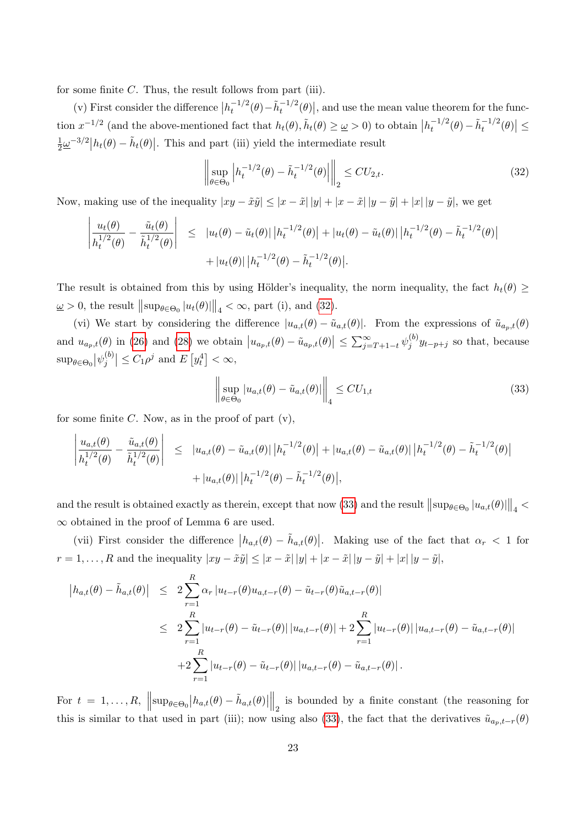for some finite  $C$ . Thus, the result follows from part (iii).

(v) First consider the difference  $|h_t^{-1/2}$  $\tilde{t}^{-1/2}(\theta) - \tilde{h}_t^{-1/2}(\theta)$ , and use the mean value theorem for the function  $x^{-1/2}$  (and the above-mentioned fact that  $h_t(\theta), \tilde{h}_t(\theta) \geq \omega > 0$ ) to obtain  $|h_t^{-1/2}|$  $\left| \frac{-1}{t} \theta \right| - \tilde{h}_t^{-1/2}(\theta) \leq$ 1  $\frac{1}{2}\underline{\omega}^{-3/2} |h_t(\theta) - \tilde{h}_t(\theta)|$ . This and part (iii) yield the intermediate result

$$
\left\| \sup_{\theta \in \Theta_0} \left| h_t^{-1/2}(\theta) - \tilde{h}_t^{-1/2}(\theta) \right| \right\|_2 \le C U_{2,t}.
$$
 (32)

Now, making use of the inequality  $|xy - \tilde{x}\tilde{y}| \leq |x - \tilde{x}| |y| + |x - \tilde{x}| |y - \tilde{y}| + |x| |y - \tilde{y}|$ , we get

$$
\left| \frac{u_t(\theta)}{h_t^{1/2}(\theta)} - \frac{\tilde{u}_t(\theta)}{\tilde{h}_t^{1/2}(\theta)} \right| \leq |u_t(\theta) - \tilde{u}_t(\theta)| |h_t^{-1/2}(\theta)| + |u_t(\theta) - \tilde{u}_t(\theta)| |h_t^{-1/2}(\theta) - \tilde{h}_t^{-1/2}(\theta)| + |u_t(\theta)| |h_t^{-1/2}(\theta) - \tilde{h}_t^{-1/2}(\theta)|.
$$

The result is obtained from this by using Hölder's inequality, the norm inequality, the fact  $h_t(\theta) \geq$  $\underline{\omega} > 0$ , the result  $\|\sup_{\theta \in \Theta_0} |u_t(\theta)|\|_4 < \infty$ , part (i), and (32).

(vi) We start by considering the difference  $|u_{a,t}(\theta) - \tilde{u}_{a,t}(\theta)|$ . From the expressions of  $\tilde{u}_{a_p,t}(\theta)$ and  $u_{a_p,t}(\theta)$  in (26) and (28) we obtain  $|u_{a_p,t}(\theta) - \tilde{u}_{a_p,t}(\theta)| \le \sum_{j=T+1-t}^{\infty} \psi_j^{(b)}$  $j^{(0)}_j y_{t-p+j}$  so that, because  $\sup_{\theta \in \Theta_0} \left| \psi_j^{(b)} \right|$  $\left| \sum_{j=1}^{(b)} \right| \leq C_1 \rho^j$  and  $E\left[ y_t^4 \right] < \infty$ ,

$$
\left\| \sup_{\theta \in \Theta_0} |u_{a,t}(\theta) - \tilde{u}_{a,t}(\theta)| \right\|_4 \leq C U_{1,t}
$$
\n(33)

for some finite  $C$ . Now, as in the proof of part  $(v)$ ,

$$
\left| \frac{u_{a,t}(\theta)}{h_t^{1/2}(\theta)} - \frac{\tilde{u}_{a,t}(\theta)}{\tilde{h}_t^{1/2}(\theta)} \right| \leq |u_{a,t}(\theta) - \tilde{u}_{a,t}(\theta)| |h_t^{-1/2}(\theta)| + |u_{a,t}(\theta) - \tilde{u}_{a,t}(\theta)| |h_t^{-1/2}(\theta) - \tilde{h}_t^{-1/2}(\theta)| + |u_{a,t}(\theta)| |h_t^{-1/2}(\theta) - \tilde{h}_t^{-1/2}(\theta)|,
$$

and the result is obtained exactly as therein, except that now (33) and the result  $\|\sup_{\theta\in\Theta_0}|u_{a,t}(\theta)|\|_4$ ∞ obtained in the proof of Lemma 6 are used.

(vii) First consider the difference  $|h_{a,t}(\theta) - \tilde{h}_{a,t}(\theta)|$ . Making use of the fact that  $\alpha_r < 1$  for  $r = 1, ..., R$  and the inequality  $|xy - \tilde{x}\tilde{y}| \leq |x - \tilde{x}| |y + |x - \tilde{x}| |y - \tilde{y}| + |x| |y - \tilde{y}|$ ,

$$
\begin{split} \left| h_{a,t}(\theta) - \tilde{h}_{a,t}(\theta) \right| &\leq 2 \sum_{r=1}^{R} \alpha_r \left| u_{t-r}(\theta) u_{a,t-r}(\theta) - \tilde{u}_{t-r}(\theta) \tilde{u}_{a,t-r}(\theta) \right| \\ &\leq 2 \sum_{r=1}^{R} \left| u_{t-r}(\theta) - \tilde{u}_{t-r}(\theta) \right| \left| u_{a,t-r}(\theta) \right| + 2 \sum_{r=1}^{R} \left| u_{t-r}(\theta) \right| \left| u_{a,t-r}(\theta) - \tilde{u}_{a,t-r}(\theta) \right| \\ &+ 2 \sum_{r=1}^{R} \left| u_{t-r}(\theta) - \tilde{u}_{t-r}(\theta) \right| \left| u_{a,t-r}(\theta) - \tilde{u}_{a,t-r}(\theta) \right| . \end{split}
$$

For  $t = 1, ..., R$ ,  $\left|\left|\sup_{\theta \in \Theta_0} \left| h_{a,t}(\theta) - \tilde{h}_{a,t}(\theta) \right|\right|\right|$  $\parallel_2$  is bounded by a finite constant (the reasoning for this is similar to that used in part (iii); now using also (33), the fact that the derivatives  $\tilde{u}_{a_p,t-r}(\theta)$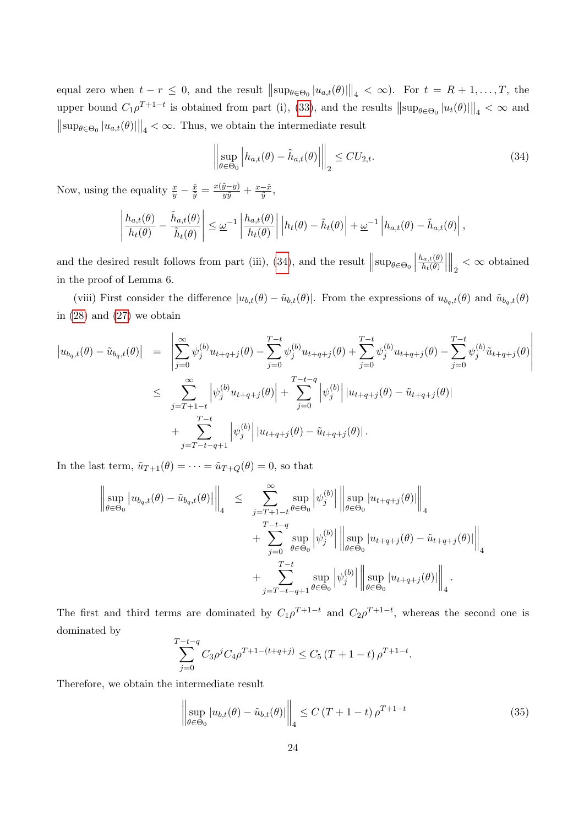equal zero when  $t - r \leq 0$ , and the result  $\|\sup_{\theta \in \Theta_0} |u_{a,t}(\theta)|\|_4 < \infty$ ). For  $t = R + 1, \ldots, T$ , the upper bound  $C_1 \rho^{T+1-t}$  is obtained from part (i), (33), and the results  $\|\sup_{\theta \in \Theta_0} |u_t(\theta)|\|_4 < \infty$  and  $\|\sup_{\theta \in \Theta_0} |u_{a,t}(\theta)|\|_4 < \infty$ . Thus, we obtain the intermediate result

$$
\left\| \sup_{\theta \in \Theta_0} \left| h_{a,t}(\theta) - \tilde{h}_{a,t}(\theta) \right| \right\|_2 \le C U_{2,t}.
$$
\n(34)

Now, using the equality  $\frac{x}{y} - \frac{\tilde{x}}{\tilde{y}} = \frac{x(\tilde{y}-y)}{y\tilde{y}} + \frac{x-\tilde{x}}{\tilde{y}}$  $\frac{-x}{\tilde{y}},$ 

$$
\left|\frac{h_{a,t}(\theta)}{h_t(\theta)} - \frac{\tilde{h}_{a,t}(\theta)}{\tilde{h}_t(\theta)}\right| \leq \underline{\omega}^{-1} \left|\frac{h_{a,t}(\theta)}{h_t(\theta)}\right| \left|h_t(\theta) - \tilde{h}_t(\theta)\right| + \underline{\omega}^{-1} \left|h_{a,t}(\theta) - \tilde{h}_{a,t}(\theta)\right|,
$$

and the desired result follows from part (iii), (34), and the result  $\left\|\sup_{\theta \in \Theta_0}\right\|$  $h_{a,t}(\theta)$  $h_t(\theta)$   $\Big\|_2 < \infty$  obtained in the proof of Lemma 6.

(viii) First consider the difference  $|u_{b,t}(\theta) - \tilde{u}_{b,t}(\theta)|$ . From the expressions of  $u_{b_q,t}(\theta)$  and  $\tilde{u}_{b_q,t}(\theta)$ in  $(28)$  and  $(27)$  we obtain

$$
\begin{split}\n|u_{b_{q},t}(\theta) - \tilde{u}_{b_{q},t}(\theta)| &= \left| \sum_{j=0}^{\infty} \psi_{j}^{(b)} u_{t+q+j}(\theta) - \sum_{j=0}^{T-t} \psi_{j}^{(b)} u_{t+q+j}(\theta) + \sum_{j=0}^{T-t} \psi_{j}^{(b)} u_{t+q+j}(\theta) - \sum_{j=0}^{T-t} \psi_{j}^{(b)} \tilde{u}_{t+q+j}(\theta) \right| \\
&\leq \sum_{j=T+1-t}^{\infty} \left| \psi_{j}^{(b)} u_{t+q+j}(\theta) \right| + \sum_{j=0}^{T-t-q} \left| \psi_{j}^{(b)} \right| |u_{t+q+j}(\theta) - \tilde{u}_{t+q+j}(\theta)| \\
&\quad + \sum_{j=T-t-q+1}^{T-t} \left| \psi_{j}^{(b)} \right| |u_{t+q+j}(\theta) - \tilde{u}_{t+q+j}(\theta)|.\n\end{split}
$$

In the last term,  $\tilde{u}_{T+1}(\theta) = \cdots = \tilde{u}_{T+Q}(\theta) = 0$ , so that

$$
\left\| \sup_{\theta \in \Theta_0} |u_{b_q,t}(\theta) - \tilde{u}_{b_q,t}(\theta)| \right\|_4 \leq \sum_{\substack{j=T+1-t \\ j=0}}^{\infty} \sup_{\theta \in \Theta_0} \left| \psi_j^{(b)} \right| \left\| \sup_{\theta \in \Theta_0} |u_{t+q+j}(\theta)| \right\|_4 + \sum_{j=0}^{T-t-q} \sup_{\theta \in \Theta_0} \left| \psi_j^{(b)} \right| \left\| \sup_{\theta \in \Theta_0} |u_{t+q+j}(\theta) - \tilde{u}_{t+q+j}(\theta)| \right\|_4 + \sum_{j=T-t-q+1}^{T-t} \sup_{\theta \in \Theta_0} \left| \psi_j^{(b)} \right| \left\| \sup_{\theta \in \Theta_0} |u_{t+q+j}(\theta)| \right\|_4.
$$

The first and third terms are dominated by  $C_1 \rho^{T+1-t}$  and  $C_2 \rho^{T+1-t}$ , whereas the second one is dominated by

$$
\sum_{j=0}^{T-t-q} C_3 \rho^j C_4 \rho^{T+1-(t+q+j)} \le C_5 (T+1-t) \rho^{T+1-t}.
$$

Therefore, we obtain the intermediate result

$$
\left\| \sup_{\theta \in \Theta_0} |u_{b,t}(\theta) - \tilde{u}_{b,t}(\theta)| \right\|_4 \le C (T + 1 - t) \rho^{T + 1 - t}
$$
\n(35)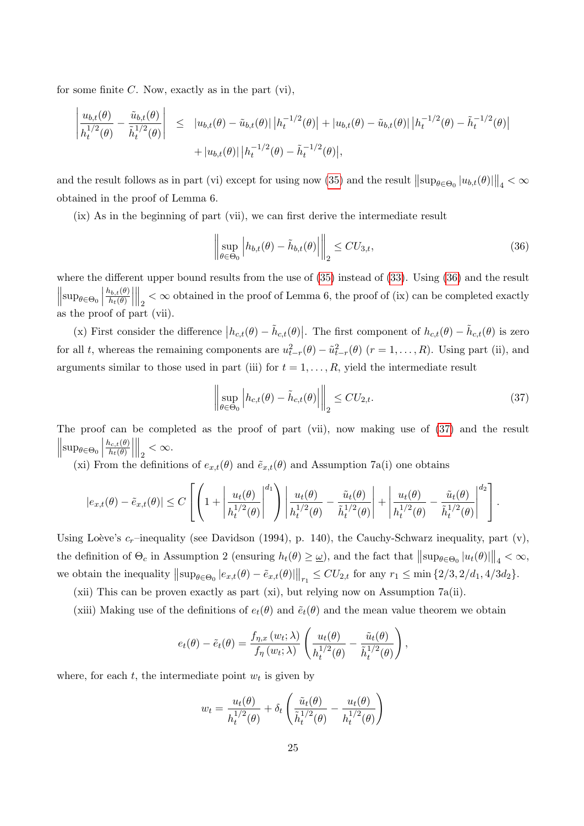for some finite  $C$ . Now, exactly as in the part  $(vi)$ ,

$$
\left| \frac{u_{b,t}(\theta)}{h_t^{1/2}(\theta)} - \frac{\tilde{u}_{b,t}(\theta)}{\tilde{h}_t^{1/2}(\theta)} \right| \leq |u_{b,t}(\theta) - \tilde{u}_{b,t}(\theta)| |h_t^{-1/2}(\theta)| + |u_{b,t}(\theta) - \tilde{u}_{b,t}(\theta)| |h_t^{-1/2}(\theta) - \tilde{h}_t^{-1/2}(\theta)| + |u_{b,t}(\theta)| |h_t^{-1/2}(\theta) - \tilde{h}_t^{-1/2}(\theta)|,
$$

and the result follows as in part (vi) except for using now (35) and the result  $\|\sup_{\theta \in \Theta_0} |u_{b,t}(\theta)|\|_4 < \infty$ obtained in the proof of Lemma 6.

(ix) As in the beginning of part (vii), we can first derive the intermediate result

$$
\left\| \sup_{\theta \in \Theta_0} \left| h_{b,t}(\theta) - \tilde{h}_{b,t}(\theta) \right| \right\|_2 \le C U_{3,t},\tag{36}
$$

where the different upper bound results from the use of (35) instead of (33). Using (36) and the result  $\left\|\sup_{\theta\in\Theta_0}\right\|$  $h_{b,t}(\theta)$  $h_t(\theta)$   $\mathbb{R}_2$  <  $\infty$  obtained in the proof of Lemma 6, the proof of (ix) can be completed exactly as the proof of part (vii).

(x) First consider the difference  $|h_{c,t}(\theta) - \tilde{h}_{c,t}(\theta)|$ . The first component of  $h_{c,t}(\theta) - \tilde{h}_{c,t}(\theta)$  is zero for all t, whereas the remaining components are  $u_{t-r}^2(\theta) - \tilde{u}_{t-r}^2(\theta)$   $(r = 1, \ldots, R)$ . Using part (ii), and arguments similar to those used in part (iii) for  $t = 1, \ldots, R$ , yield the intermediate result

$$
\left\| \sup_{\theta \in \Theta_0} \left| h_{c,t}(\theta) - \tilde{h}_{c,t}(\theta) \right| \right\|_2 \le C U_{2,t}.
$$
\n(37)

The proof can be completed as the proof of part (vii), now making use of (37) and the result  $\left\| \sup_{\theta \in \Theta_0} \right\|$  $h_{c,t}(\theta)$  $h_t(\theta)$  $\begin{array}{c} \begin{array}{c} \begin{array}{c} \end{array} \\ \begin{array}{c} \end{array} \end{array} \end{array}$  $\Big\|_2 < \infty.$ 

(xi) From the definitions of  $e_{x,t}(\theta)$  and  $\tilde{e}_{x,t}(\theta)$  and Assumption 7a(i) one obtains

$$
|e_{x,t}(\theta) - \tilde{e}_{x,t}(\theta)| \le C \left[ \left( 1 + \left| \frac{u_t(\theta)}{h_t^{1/2}(\theta)} \right|^{d_1} \right) \left| \frac{u_t(\theta)}{h_t^{1/2}(\theta)} - \frac{\tilde{u}_t(\theta)}{\tilde{h}_t^{1/2}(\theta)} \right| + \left| \frac{u_t(\theta)}{h_t^{1/2}(\theta)} - \frac{\tilde{u}_t(\theta)}{\tilde{h}_t^{1/2}(\theta)} \right|^{d_2} \right].
$$

Using Loève's  $c_r$ –inequality (see Davidson (1994), p. 140), the Cauchy-Schwarz inequality, part (v), the definition of  $\Theta_c$  in Assumption 2 (ensuring  $h_t(\theta) \geq \omega$ ), and the fact that  $\|\sup_{\theta \in \Theta_0} |u_t(\theta)|\|_4 < \infty$ , we obtain the inequality  $||\sup_{\theta \in \Theta_0} |e_{x,t}(\theta) - \tilde{e}_{x,t}(\theta)||_{r_1} \leq CU_{2,t}$  for any  $r_1 \leq \min\{2/3, 2/d_1, 4/3d_2\}.$ 

(xii) This can be proven exactly as part (xi), but relying now on Assumption 7a(ii).

(xiii) Making use of the definitions of  $e_t(\theta)$  and  $\tilde{e}_t(\theta)$  and the mean value theorem we obtain

$$
e_t(\theta) - \tilde{e}_t(\theta) = \frac{f_{\eta,x}(w_t; \lambda)}{f_{\eta}(w_t; \lambda)} \left( \frac{u_t(\theta)}{h_t^{1/2}(\theta)} - \frac{\tilde{u}_t(\theta)}{\tilde{h}_t^{1/2}(\theta)} \right),
$$

where, for each  $t$ , the intermediate point  $w_t$  is given by

$$
w_t = \frac{u_t(\theta)}{h_t^{1/2}(\theta)} + \delta_t \left( \frac{\tilde{u}_t(\theta)}{\tilde{h}_t^{1/2}(\theta)} - \frac{u_t(\theta)}{h_t^{1/2}(\theta)} \right)
$$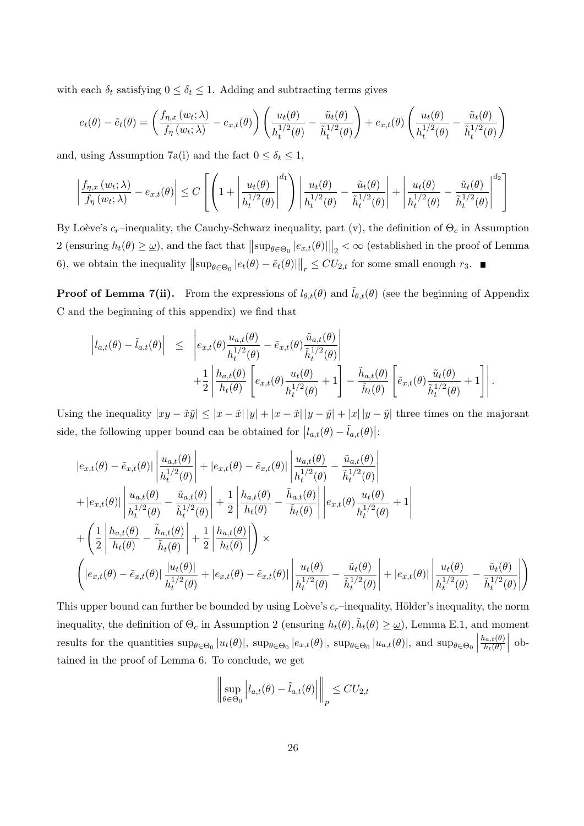with each  $\delta_t$  satisfying  $0 \leq \delta_t \leq 1$ . Adding and subtracting terms gives

$$
e_t(\theta) - \tilde{e}_t(\theta) = \left(\frac{f_{\eta,x}(w_t; \lambda)}{f_{\eta}(w_t; \lambda)} - e_{x,t}(\theta)\right) \left(\frac{u_t(\theta)}{h_t^{1/2}(\theta)} - \frac{\tilde{u}_t(\theta)}{\tilde{h}_t^{1/2}(\theta)}\right) + e_{x,t}(\theta) \left(\frac{u_t(\theta)}{h_t^{1/2}(\theta)} - \frac{\tilde{u}_t(\theta)}{\tilde{h}_t^{1/2}(\theta)}\right)
$$

and, using Assumption 7a(i) and the fact  $0 \leq \delta_t \leq 1$ ,

$$
\left| \frac{f_{\eta,x}(w_t; \lambda)}{f_{\eta}(w_t; \lambda)} - e_{x,t}(\theta) \right| \le C \left[ \left( 1 + \left| \frac{u_t(\theta)}{h_t^{1/2}(\theta)} \right|^{d_1} \right) \left| \frac{u_t(\theta)}{h_t^{1/2}(\theta)} - \frac{\tilde{u}_t(\theta)}{\tilde{h}_t^{1/2}(\theta)} \right| + \left| \frac{u_t(\theta)}{h_t^{1/2}(\theta)} - \frac{\tilde{u}_t(\theta)}{\tilde{h}_t^{1/2}(\theta)} \right|^{d_2} \right]
$$

By Loève's  $c_r$ –inequality, the Cauchy-Schwarz inequality, part (v), the definition of  $\Theta_c$  in Assumption 2 (ensuring  $h_t(\theta) \ge \omega$ ), and the fact that  $\|\sup_{\theta \in \Theta_0} |e_{x,t}(\theta)|\|_2 < \infty$  (established in the proof of Lemma 6), we obtain the inequality  $\|\sup_{\theta \in \Theta_0} |e_t(\theta) - \tilde{e}_t(\theta)|\|_r \leq CU_{2,t}$  for some small enough  $r_3$ .

**Proof of Lemma 7(ii).** From the expressions of  $l_{\theta,t}(\theta)$  and  $\tilde{l}_{\theta,t}(\theta)$  (see the beginning of Appendix C and the beginning of this appendix) we find that

$$
\left|l_{a,t}(\theta) - \tilde{l}_{a,t}(\theta)\right| \leq \left|e_{x,t}(\theta) \frac{u_{a,t}(\theta)}{h_t^{1/2}(\theta)} - \tilde{e}_{x,t}(\theta) \frac{\tilde{u}_{a,t}(\theta)}{\tilde{h}_t^{1/2}(\theta)}\right| +\frac{1}{2} \left| \frac{h_{a,t}(\theta)}{h_t(\theta)} \left[e_{x,t}(\theta) \frac{u_t(\theta)}{h_t^{1/2}(\theta)} + 1\right] - \frac{\tilde{h}_{a,t}(\theta)}{\tilde{h}_t(\theta)} \left[\tilde{e}_{x,t}(\theta) \frac{\tilde{u}_t(\theta)}{\tilde{h}_t^{1/2}(\theta)} + 1\right]\right|.
$$

Using the inequality  $|xy - \tilde{x}\tilde{y}| \leq |x - \tilde{x}| |y| + |x - \tilde{x}| |y - \tilde{y}| + |x| |y - \tilde{y}|$  three times on the majorant side, the following upper bound can be obtained for  $|l_{a,t}(\theta) - \tilde{l}_{a,t}(\theta)|$ :

$$
|e_{x,t}(\theta) - \tilde{e}_{x,t}(\theta)| \left| \frac{u_{a,t}(\theta)}{h_t^{1/2}(\theta)} \right| + |e_{x,t}(\theta) - \tilde{e}_{x,t}(\theta)| \left| \frac{u_{a,t}(\theta)}{h_t^{1/2}(\theta)} - \frac{\tilde{u}_{a,t}(\theta)}{\tilde{h}_t^{1/2}(\theta)} \right|
$$
  
+ 
$$
|e_{x,t}(\theta)| \left| \frac{u_{a,t}(\theta)}{h_t^{1/2}(\theta)} - \frac{\tilde{u}_{a,t}(\theta)}{\tilde{h}_t^{1/2}(\theta)} \right| + \frac{1}{2} \left| \frac{h_{a,t}(\theta)}{h_t(\theta)} - \frac{\tilde{h}_{a,t}(\theta)}{\tilde{h}_t(\theta)} \right| \left| e_{x,t}(\theta) \frac{u_t(\theta)}{h_t^{1/2}(\theta)} + 1 \right|
$$
  
+ 
$$
\left( \frac{1}{2} \left| \frac{h_{a,t}(\theta)}{h_t(\theta)} - \frac{\tilde{h}_{a,t}(\theta)}{\tilde{h}_t(\theta)} \right| + \frac{1}{2} \left| \frac{h_{a,t}(\theta)}{h_t(\theta)} \right| \right) \times
$$
  

$$
\left( |e_{x,t}(\theta) - \tilde{e}_{x,t}(\theta)| \frac{|u_t(\theta)|}{h_t^{1/2}(\theta)} + |e_{x,t}(\theta) - \tilde{e}_{x,t}(\theta)| \left| \frac{u_t(\theta)}{h_t^{1/2}(\theta)} - \frac{\tilde{u}_t(\theta)}{\tilde{h}_t^{1/2}(\theta)} \right| + |e_{x,t}(\theta)| \left| \frac{u_t(\theta)}{h_t^{1/2}(\theta)} - \frac{\tilde{u}_t(\theta)}{\tilde{h}_t^{1/2}(\theta)} \right| \right)
$$

This upper bound can further be bounded by using Loève's  $c_r$ –inequality, Hölder's inequality, the norm inequality, the definition of  $\Theta_c$  in Assumption 2 (ensuring  $h_t(\theta), \tilde{h}_t(\theta) \geq \omega$ ), Lemma E.1, and moment results for the quantities  $\sup_{\theta \in \Theta_0} |u_t(\theta)|$ ,  $\sup_{\theta \in \Theta_0} |e_{x,t}(\theta)|$ ,  $\sup_{\theta \in \Theta_0} |u_{a,t}(\theta)|$ , and  $\sup_{\theta \in \Theta_0} |u_{a,t}(\theta)|$  $h_{a,t}(\theta)$  $h_t(\theta)$  $\begin{array}{c} \begin{array}{c} \begin{array}{c} \end{array} \\ \begin{array}{c} \end{array} \end{array} \end{array}$ obtained in the proof of Lemma 6. To conclude, we get

$$
\left\| \sup_{\theta \in \Theta_0} \left| l_{a,t}(\theta) - \tilde{l}_{a,t}(\theta) \right| \right\|_p \leq C U_{2,t}
$$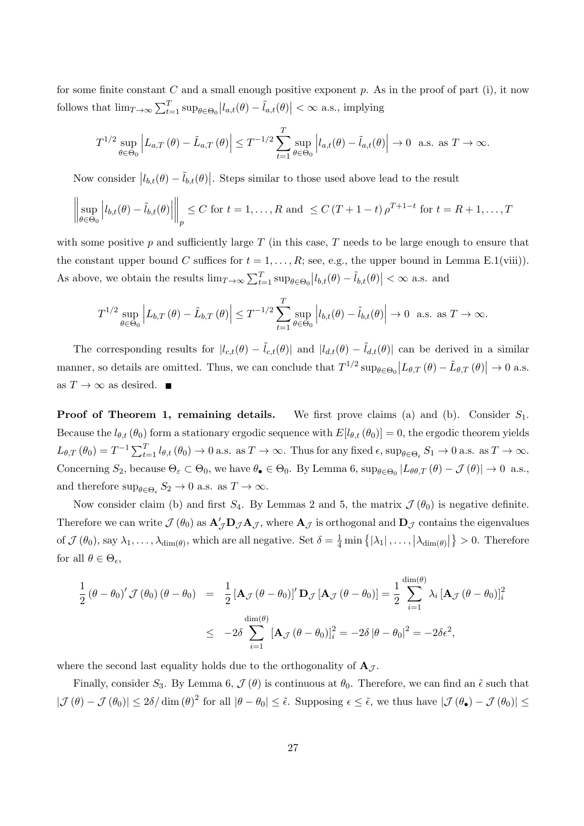for some finite constant C and a small enough positive exponent  $p$ . As in the proof of part (i), it now follows that  $\lim_{T\to\infty}\sum_{t=1}^T \sup_{\theta\in\Theta_0} |l_{a,t}(\theta) - \tilde{l}_{a,t}(\theta)| < \infty$  a.s., implying

$$
T^{1/2} \sup_{\theta \in \Theta_0} \left| L_{a,T}(\theta) - \tilde{L}_{a,T}(\theta) \right| \leq T^{-1/2} \sum_{t=1}^T \sup_{\theta \in \Theta_0} \left| l_{a,t}(\theta) - \tilde{l}_{a,t}(\theta) \right| \to 0 \text{ a.s. as } T \to \infty.
$$

Now consider  $|l_{b,t}(\theta) - \tilde{l}_{b,t}(\theta)|$ . Steps similar to those used above lead to the result

$$
\left\| \sup_{\theta \in \Theta_0} \left| l_{b,t}(\theta) - \tilde{l}_{b,t}(\theta) \right| \right\|_p \le C \text{ for } t = 1, \dots, R \text{ and } \le C (T + 1 - t) \rho^{T+1-t} \text{ for } t = R + 1, \dots, T
$$

with some positive p and sufficiently large  $T$  (in this case,  $T$  needs to be large enough to ensure that the constant upper bound C suffices for  $t = 1, \ldots, R$ ; see, e.g., the upper bound in Lemma E.1(viii)). As above, we obtain the results  $\lim_{T\to\infty}\sum_{t=1}^T \sup_{\theta\in\Theta_0}|l_{b,t}(\theta)-\tilde{l}_{b,t}(\theta)| < \infty$  a.s. and

$$
T^{1/2}\sup_{\theta\in\Theta_0}\left|L_{b,T}\left(\theta\right)-\tilde{L}_{b,T}\left(\theta\right)\right|\leq T^{-1/2}\sum_{t=1}^T\sup_{\theta\in\Theta_0}\left|l_{b,t}(\theta)-\tilde{l}_{b,t}(\theta)\right|\to 0\ \ \text{a.s. as }T\to\infty.
$$

The corresponding results for  $|l_{c,t}(\theta) - \tilde{l}_{c,t}(\theta)|$  and  $|l_{d,t}(\theta) - \tilde{l}_{d,t}(\theta)|$  can be derived in a similar manner, so details are omitted. Thus, we can conclude that  $T^{1/2} \sup_{\theta \in \Theta_0} |L_{\theta,T}(\theta) - \tilde{L}_{\theta,T}(\theta)| \to 0$  a.s. as  $T \to \infty$  as desired. ■

**Proof of Theorem 1, remaining details.** We first prove claims (a) and (b). Consider  $S_1$ . Because the  $l_{\theta,t}(\theta_0)$  form a stationary ergodic sequence with  $E[l_{\theta,t}(\theta_0)] = 0$ , the ergodic theorem yields  $L_{\theta,T}(\theta_0) = T^{-1} \sum_{t=1}^T l_{\theta,t}(\theta_0) \to 0$  a.s. as  $T \to \infty$ . Thus for any fixed  $\epsilon$ ,  $\sup_{\theta \in \Theta_{\epsilon}} S_1 \to 0$  a.s. as  $T \to \infty$ . Concerning  $S_2$ , because  $\Theta_{\varepsilon} \subset \Theta_0$ , we have  $\theta_{\bullet} \in \Theta_0$ . By Lemma 6,  $\sup_{\theta \in \Theta_0} |L_{\theta\theta,T}(\theta) - \mathcal{J}(\theta)| \to 0$  a.s., and therefore  $\sup_{\theta \in \Theta_{\epsilon}} S_2 \to 0$  a.s. as  $T \to \infty$ .

Now consider claim (b) and first  $S_4$ . By Lemmas 2 and 5, the matrix  $\mathcal{J}(\theta_0)$  is negative definite. Therefore we can write  $\mathcal{J}(\theta_0)$  as  $\mathbf{A}'_{\mathcal{J}}\mathbf{D}_{\mathcal{J}}\mathbf{A}_{\mathcal{J}}$ , where  $\mathbf{A}_{\mathcal{J}}$  is orthogonal and  $\mathbf{D}_{\mathcal{J}}$  contains the eigenvalues of  $\mathcal{J}(\theta_0)$ , say  $\lambda_1, \ldots, \lambda_{\dim(\theta)}$ , which are all negative. Set  $\delta = \frac{1}{4} \min \{ |\lambda_1|, \ldots, |\lambda_{\dim(\theta)}| \} > 0$ . Therefore for all  $\theta \in \Theta_{\epsilon}$ ,

$$
\frac{1}{2} (\theta - \theta_0)' \mathcal{J} (\theta_0) (\theta - \theta_0) = \frac{1}{2} [\mathbf{A}_{\mathcal{J}} (\theta - \theta_0)]' \mathbf{D}_{\mathcal{J}} [\mathbf{A}_{\mathcal{J}} (\theta - \theta_0)] = \frac{1}{2} \sum_{i=1}^{\dim(\theta)} \lambda_i [\mathbf{A}_{\mathcal{J}} (\theta - \theta_0)]_i^2
$$

$$
\leq -2\delta \sum_{i=1}^{\dim(\theta)} [\mathbf{A}_{\mathcal{J}} (\theta - \theta_0)]_i^2 = -2\delta |\theta - \theta_0|^2 = -2\delta \epsilon^2,
$$

where the second last equality holds due to the orthogonality of  $\mathbf{A}_{\mathcal{J}}$ .

Finally, consider  $S_3$ . By Lemma 6,  $\mathcal{J}(\theta)$  is continuous at  $\theta_0$ . Therefore, we can find an  $\tilde{\epsilon}$  such that  $|\mathcal{J}(\theta) - \mathcal{J}(\theta_0)| \leq 2\delta/\dim(\theta)^2$  for all  $|\theta - \theta_0| \leq \tilde{\epsilon}$ . Supposing  $\epsilon \leq \tilde{\epsilon}$ , we thus have  $|\mathcal{J}(\theta_0) - \mathcal{J}(\theta_0)| \leq$